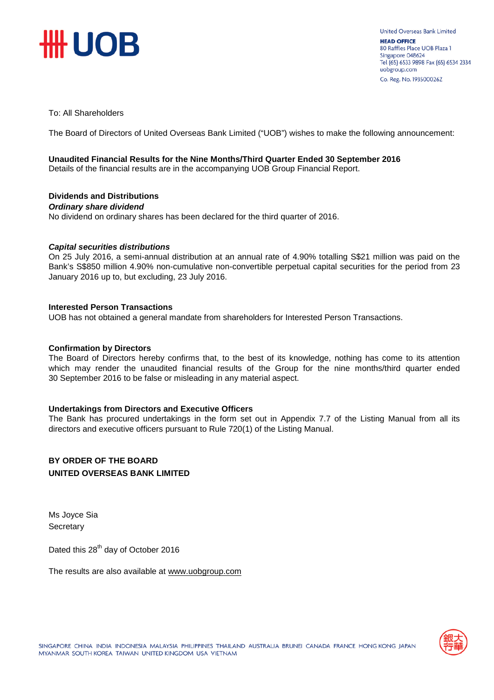

To: All Shareholders

The Board of Directors of United Overseas Bank Limited ("UOB") wishes to make the following announcement:

#### **Unaudited Financial Results for the Nine Months/Third Quarter Ended 30 September 2016**

Details of the financial results are in the accompanying UOB Group Financial Report.

### **Dividends and Distributions**

*Ordinary share dividend*

No dividend on ordinary shares has been declared for the third quarter of 2016.

#### *Capital securities distributions*

On 25 July 2016, a semi-annual distribution at an annual rate of 4.90% totalling S\$21 million was paid on the Bank's S\$850 million 4.90% non-cumulative non-convertible perpetual capital securities for the period from 23 January 2016 up to, but excluding, 23 July 2016.

#### **Interested Person Transactions**

UOB has not obtained a general mandate from shareholders for Interested Person Transactions.

#### **Confirmation by Directors**

The Board of Directors hereby confirms that, to the best of its knowledge, nothing has come to its attention which may render the unaudited financial results of the Group for the nine months/third quarter ended 30 September 2016 to be false or misleading in any material aspect.

#### **Undertakings from Directors and Executive Officers**

The Bank has procured undertakings in the form set out in Appendix 7.7 of the Listing Manual from all its directors and executive officers pursuant to Rule 720(1) of the Listing Manual.

#### **BY ORDER OF THE BOARD UNITED OVERSEAS BANK LIMITED**

Ms Joyce Sia **Secretary** 

Dated this 28<sup>th</sup> day of October 2016

The results are also available at www.uob[group.com](http://www.uobgroup.com/)

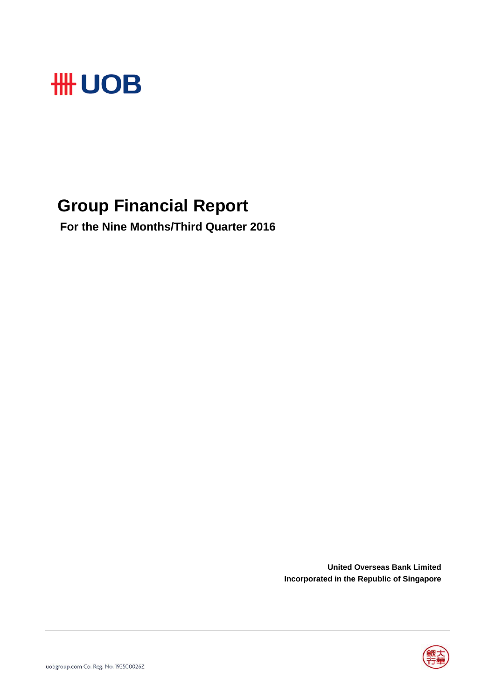

## **Group Financial Report**

 **For the Nine Months/Third Quarter 2016**

**United Overseas Bank Limited Incorporated in the Republic of Singapore**

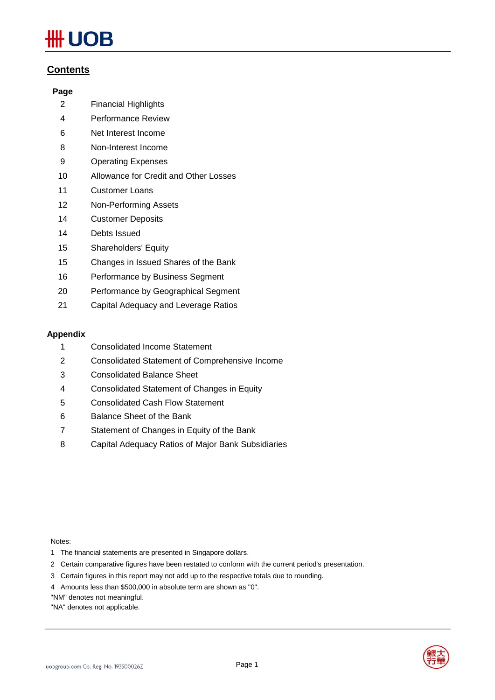# **JOB**

#### **Contents**

#### **Page**

- Financial Highlights
- Performance Review
- Net Interest Income
- Non-Interest Income
- Operating Expenses
- Allowance for Credit and Other Losses
- Customer Loans
- Non-Performing Assets
- Customer Deposits
- Debts Issued
- Shareholders' Equity
- Changes in Issued Shares of the Bank
- Performance by Business Segment
- Performance by Geographical Segment
- Capital Adequacy and Leverage Ratios

#### **Appendix**

- Consolidated Income Statement
- Consolidated Statement of Comprehensive Income
- Consolidated Balance Sheet
- Consolidated Statement of Changes in Equity
- Consolidated Cash Flow Statement
- Balance Sheet of the Bank
- Statement of Changes in Equity of the Bank
- Capital Adequacy Ratios of Major Bank Subsidiaries

Notes:

- 1 The financial statements are presented in Singapore dollars.
- 2 Certain comparative figures have been restated to conform with the current period's presentation.
- 3 Certain figures in this report may not add up to the respective totals due to rounding.
- 4 Amounts less than \$500,000 in absolute term are shown as "0".

"NM" denotes not meaningful.

"NA" denotes not applicable.

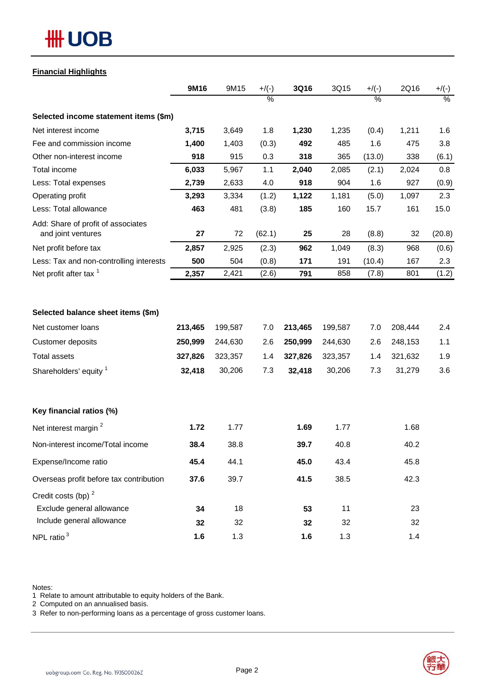#### **Financial Highlights**

|                                                          | 9M16    | 9M15    | $+$ /(-)      | 3Q16    | 3Q15    | $+$ /(-) | 2Q16    | $+/(-)$ |
|----------------------------------------------------------|---------|---------|---------------|---------|---------|----------|---------|---------|
|                                                          |         |         | $\frac{0}{6}$ |         |         | $\%$     |         | $\%$    |
| Selected income statement items (\$m)                    |         |         |               |         |         |          |         |         |
| Net interest income                                      | 3,715   | 3,649   | 1.8           | 1,230   | 1,235   | (0.4)    | 1,211   | 1.6     |
| Fee and commission income                                | 1,400   | 1,403   | (0.3)         | 492     | 485     | 1.6      | 475     | 3.8     |
| Other non-interest income                                | 918     | 915     | 0.3           | 318     | 365     | (13.0)   | 338     | (6.1)   |
| Total income                                             | 6,033   | 5,967   | 1.1           | 2,040   | 2,085   | (2.1)    | 2,024   | 0.8     |
| Less: Total expenses                                     | 2,739   | 2,633   | 4.0           | 918     | 904     | 1.6      | 927     | (0.9)   |
| Operating profit                                         | 3,293   | 3,334   | (1.2)         | 1,122   | 1,181   | (5.0)    | 1,097   | 2.3     |
| Less: Total allowance                                    | 463     | 481     | (3.8)         | 185     | 160     | 15.7     | 161     | 15.0    |
| Add: Share of profit of associates<br>and joint ventures | 27      | 72      | (62.1)        | 25      | 28      | (8.8)    | 32      | (20.8)  |
| Net profit before tax                                    | 2,857   | 2,925   | (2.3)         | 962     | 1,049   | (8.3)    | 968     | (0.6)   |
| Less: Tax and non-controlling interests                  | 500     | 504     | (0.8)         | 171     | 191     | (10.4)   | 167     | 2.3     |
| Net profit after tax <sup>1</sup>                        | 2,357   | 2,421   | (2.6)         | 791     | 858     | (7.8)    | 801     | (1.2)   |
| Selected balance sheet items (\$m)                       |         |         |               |         |         |          |         |         |
| Net customer loans                                       | 213,465 | 199,587 | 7.0           | 213,465 | 199,587 | 7.0      | 208,444 | 2.4     |
| Customer deposits                                        | 250,999 | 244,630 | 2.6           | 250,999 | 244,630 | 2.6      | 248,153 | 1.1     |
| <b>Total assets</b>                                      | 327,826 | 323,357 | 1.4           | 327,826 | 323,357 | 1.4      | 321,632 | 1.9     |
| Shareholders' equity 1                                   | 32,418  | 30,206  | 7.3           | 32,418  | 30,206  | 7.3      | 31,279  | 3.6     |
| Key financial ratios (%)                                 |         |         |               |         |         |          |         |         |
| Net interest margin <sup>2</sup>                         | 1.72    | 1.77    |               | 1.69    | 1.77    |          | 1.68    |         |
| Non-interest income/Total income                         | 38.4    | 38.8    |               | 39.7    | 40.8    |          | 40.2    |         |
| Expense/Income ratio                                     | 45.4    | 44.1    |               | 45.0    | 43.4    |          | 45.8    |         |
| Overseas profit before tax contribution                  | 37.6    | 39.7    |               | 41.5    | 38.5    |          | 42.3    |         |
| Credit costs (bp) <sup>2</sup>                           |         |         |               |         |         |          |         |         |
| Exclude general allowance                                | 34      | 18      |               | 53      | 11      |          | 23      |         |
| Include general allowance                                | 32      | 32      |               | 32      | 32      |          | 32      |         |
| NPL ratio $3$                                            | 1.6     | 1.3     |               | 1.6     | 1.3     |          | 1.4     |         |

Notes:

1 Relate to amount attributable to equity holders of the Bank.

2 Computed on an annualised basis.

3 Refer to non-performing loans as a percentage of gross customer loans.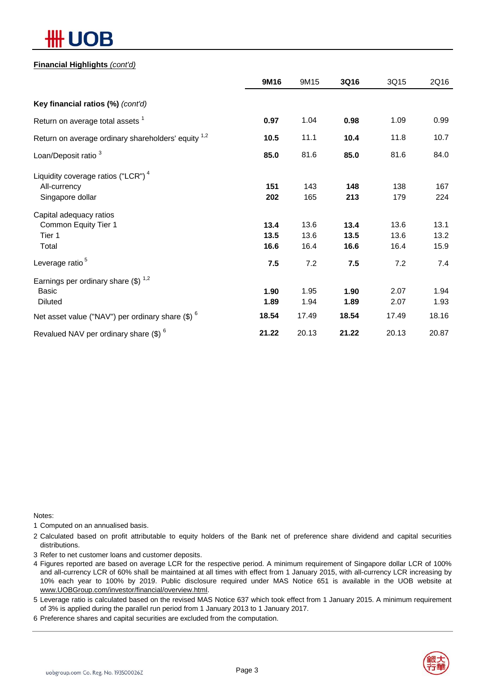# )R

#### **Financial Highlights** *(cont'd)*

|                                                                | 9M16  | 9M15  | 3Q16  | 3Q15  | 2Q16  |
|----------------------------------------------------------------|-------|-------|-------|-------|-------|
| Key financial ratios (%) (cont'd)                              |       |       |       |       |       |
| Return on average total assets <sup>1</sup>                    | 0.97  | 1.04  | 0.98  | 1.09  | 0.99  |
| Return on average ordinary shareholders' equity <sup>1,2</sup> | 10.5  | 11.1  | 10.4  | 11.8  | 10.7  |
| Loan/Deposit ratio <sup>3</sup>                                | 85.0  | 81.6  | 85.0  | 81.6  | 84.0  |
| Liquidity coverage ratios ("LCR") <sup>4</sup>                 |       |       |       |       |       |
| All-currency                                                   | 151   | 143   | 148   | 138   | 167   |
| Singapore dollar                                               | 202   | 165   | 213   | 179   | 224   |
| Capital adequacy ratios                                        |       |       |       |       |       |
| Common Equity Tier 1                                           | 13.4  | 13.6  | 13.4  | 13.6  | 13.1  |
| Tier 1                                                         | 13.5  | 13.6  | 13.5  | 13.6  | 13.2  |
| Total                                                          | 16.6  | 16.4  | 16.6  | 16.4  | 15.9  |
| Leverage ratio <sup>5</sup>                                    | 7.5   | 7.2   | 7.5   | 7.2   | 7.4   |
| Earnings per ordinary share $(\$)^{1,2}$                       |       |       |       |       |       |
| <b>Basic</b>                                                   | 1.90  | 1.95  | 1.90  | 2.07  | 1.94  |
| <b>Diluted</b>                                                 | 1.89  | 1.94  | 1.89  | 2.07  | 1.93  |
| Net asset value ("NAV") per ordinary share $(\$)$ $^6$         | 18.54 | 17.49 | 18.54 | 17.49 | 18.16 |
| Revalued NAV per ordinary share (\$) <sup>6</sup>              | 21.22 | 20.13 | 21.22 | 20.13 | 20.87 |

Notes:

1 Computed on an annualised basis.

- 2 Calculated based on profit attributable to equity holders of the Bank net of preference share dividend and capital securities distributions.
- 3 Refer to net customer loans and customer deposits.
- 4 Figures reported are based on average LCR for the respective period. A minimum requirement of Singapore dollar LCR of 100% and all-currency LCR of 60% shall be maintained at all times with effect from 1 January 2015, with all-currency LCR increasing by 10% each year to 100% by 2019. Public disclosure required under MAS Notice 651 is available in the UOB website at www.UOBGroup.com/investor/financial/overview.html.
- 5 Leverage ratio is calculated based on the revised MAS Notice 637 which took effect from 1 January 2015. A minimum requirement of 3% is applied during the parallel run period from 1 January 2013 to 1 January 2017.
- 6 Preference shares and capital securities are excluded from the computation.

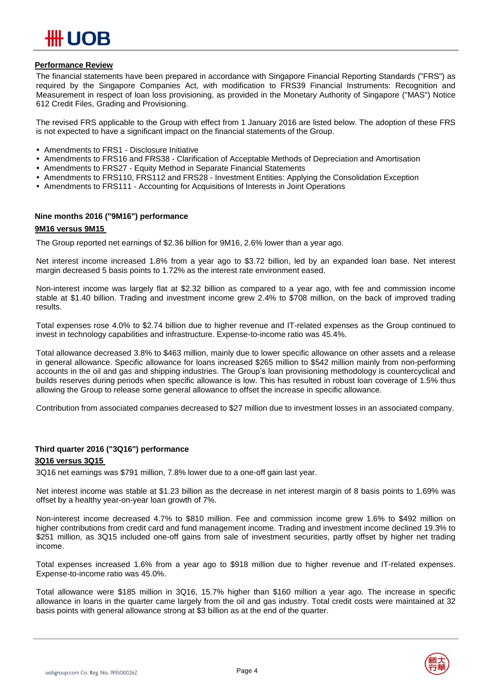#### **Performance Review**

The financial statements have been prepared in accordance with Singapore Financial Reporting Standards ("FRS") as required by the Singapore Companies Act, with modification to FRS39 Financial Instruments: Recognition and Measurement in respect of loan loss provisioning, as provided in the Monetary Authority of Singapore ("MAS") Notice 612 Credit Files, Grading and Provisioning.

The revised FRS applicable to the Group with effect from 1 January 2016 are listed below. The adoption of these FRS is not expected to have a significant impact on the financial statements of the Group.

- Amendments to FRS1 Disclosure Initiative
- Amendments to FRS16 and FRS38 Clarification of Acceptable Methods of Depreciation and Amortisation
- Amendments to FRS27 Equity Method in Separate Financial Statements
- Amendments to FRS110, FRS112 and FRS28 Investment Entities: Applying the Consolidation Exception
- Amendments to FRS111 Accounting for Acquisitions of Interests in Joint Operations

#### **Nine months 2016 ("9M16") performance**

#### **9M16 versus 9M15**

The Group reported net earnings of \$2.36 billion for 9M16, 2.6% lower than a year ago.

Net interest income increased 1.8% from a year ago to \$3.72 billion, led by an expanded loan base. Net interest margin decreased 5 basis points to 1.72% as the interest rate environment eased.

Non-interest income was largely flat at \$2.32 billion as compared to a year ago, with fee and commission income stable at \$1.40 billion. Trading and investment income grew 2.4% to \$708 million, on the back of improved trading results.

Total expenses rose 4.0% to \$2.74 billion due to higher revenue and IT-related expenses as the Group continued to invest in technology capabilities and infrastructure. Expense-to-income ratio was 45.4%.

Total allowance decreased 3.8% to \$463 million, mainly due to lower specific allowance on other assets and a release in general allowance. Specific allowance for loans increased \$265 million to \$542 million mainly from non-performing accounts in the oil and gas and shipping industries. The Group's loan provisioning methodology is countercyclical and builds reserves during periods when specific allowance is low. This has resulted in robust loan coverage of 1.5% thus allowing the Group to release some general allowance to offset the increase in specific allowance.

Contribution from associated companies decreased to \$27 million due to investment losses in an associated company.

#### **Third quarter 2016 ("3Q16") performance**

#### **3Q16 versus 3Q15**

3Q16 net earnings was \$791 million, 7.8% lower due to a one-off gain last year.

Net interest income was stable at \$1.23 billion as the decrease in net interest margin of 8 basis points to 1.69% was offset by a healthy year-on-year loan growth of 7%.

Non-interest income decreased 4.7% to \$810 million. Fee and commission income grew 1.6% to \$492 million on higher contributions from credit card and fund management income. Trading and investment income declined 19.3% to \$251 million, as 3Q15 included one-off gains from sale of investment securities, partly offset by higher net trading income.

Total expenses increased 1.6% from a year ago to \$918 million due to higher revenue and IT-related expenses. Expense-to-income ratio was 45.0%.

Total allowance were \$185 million in 3Q16, 15.7% higher than \$160 million a year ago. The increase in specific allowance in loans in the quarter came largely from the oil and gas industry. Total credit costs were maintained at 32 basis points with general allowance strong at \$3 billion as at the end of the quarter.

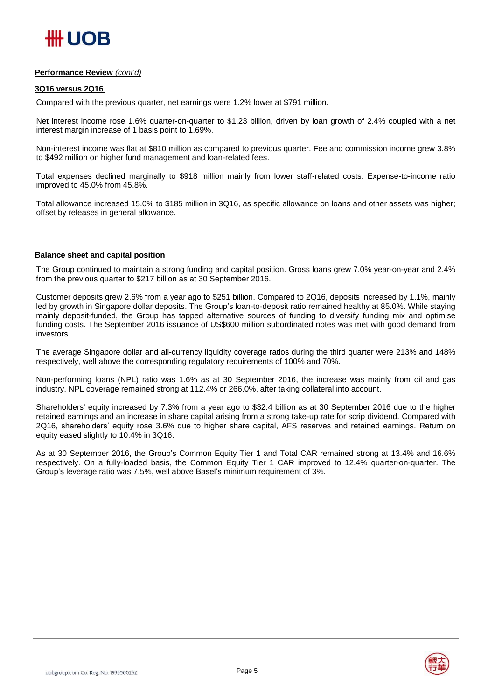#### **Performance Review** *(cont'd)*

#### **3Q16 versus 2Q16**

Compared with the previous quarter, net earnings were 1.2% lower at \$791 million.

Net interest income rose 1.6% quarter-on-quarter to \$1.23 billion, driven by loan growth of 2.4% coupled with a net interest margin increase of 1 basis point to 1.69%.

Non-interest income was flat at \$810 million as compared to previous quarter. Fee and commission income grew 3.8% to \$492 million on higher fund management and loan-related fees.

Total expenses declined marginally to \$918 million mainly from lower staff-related costs. Expense-to-income ratio improved to 45.0% from 45.8%.

Total allowance increased 15.0% to \$185 million in 3Q16, as specific allowance on loans and other assets was higher; offset by releases in general allowance.

#### **Balance sheet and capital position**

The Group continued to maintain a strong funding and capital position. Gross loans grew 7.0% year-on-year and 2.4% from the previous quarter to \$217 billion as at 30 September 2016.

Customer deposits grew 2.6% from a year ago to \$251 billion. Compared to 2Q16, deposits increased by 1.1%, mainly led by growth in Singapore dollar deposits. The Group's loan-to-deposit ratio remained healthy at 85.0%. While staying mainly deposit-funded, the Group has tapped alternative sources of funding to diversify funding mix and optimise funding costs. The September 2016 issuance of US\$600 million subordinated notes was met with good demand from investors.

The average Singapore dollar and all-currency liquidity coverage ratios during the third quarter were 213% and 148% respectively, well above the corresponding regulatory requirements of 100% and 70%.

Non-performing loans (NPL) ratio was 1.6% as at 30 September 2016, the increase was mainly from oil and gas industry. NPL coverage remained strong at 112.4% or 266.0%, after taking collateral into account.

Shareholders' equity increased by 7.3% from a year ago to \$32.4 billion as at 30 September 2016 due to the higher retained earnings and an increase in share capital arising from a strong take-up rate for scrip dividend. Compared with 2Q16, shareholders' equity rose 3.6% due to higher share capital, AFS reserves and retained earnings. Return on equity eased slightly to 10.4% in 3Q16.

As at 30 September 2016, the Group's Common Equity Tier 1 and Total CAR remained strong at 13.4% and 16.6% respectively. On a fully-loaded basis, the Common Equity Tier 1 CAR improved to 12.4% quarter-on-quarter. The Group's leverage ratio was 7.5%, well above Basel's minimum requirement of 3%.

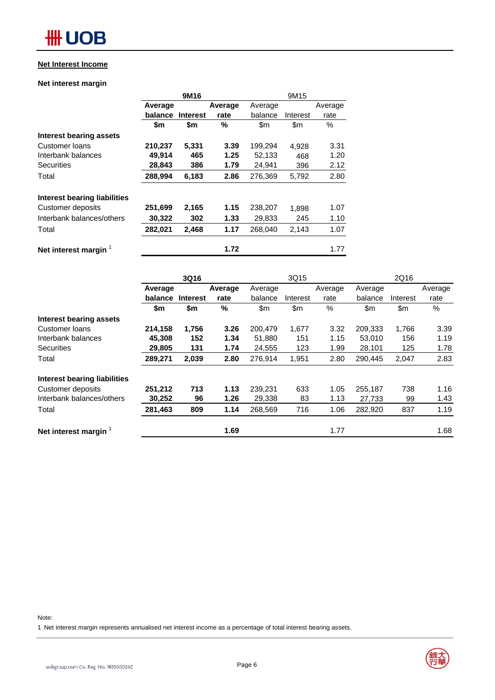#### **Net Interest Income**

#### **Net interest margin**

|                                     |         | 9M16            |         | 9M15    |          |         |
|-------------------------------------|---------|-----------------|---------|---------|----------|---------|
|                                     | Average |                 | Average | Average |          | Average |
|                                     | balance | <b>Interest</b> | rate    | balance | Interest | rate    |
|                                     | \$m     | \$m             | %       | \$m     | \$m      | $\%$    |
| <b>Interest bearing assets</b>      |         |                 |         |         |          |         |
| Customer loans                      | 210,237 | 5,331           | 3.39    | 199,294 | 4.928    | 3.31    |
| Interbank balances                  | 49,914  | 465             | 1.25    | 52,133  | 468      | 1.20    |
| <b>Securities</b>                   | 28,843  | 386             | 1.79    | 24,941  | 396      | 2.12    |
| Total                               | 288,994 | 6,183           | 2.86    | 276,369 | 5,792    | 2.80    |
| <b>Interest bearing liabilities</b> |         |                 |         |         |          |         |
| Customer deposits                   | 251,699 | 2,165           | 1.15    | 238,207 | 1.898    | 1.07    |
| Interbank balances/others           | 30,322  | 302             | 1.33    | 29,833  | 245      | 1.10    |
| Total                               | 282,021 | 2,468           | 1.17    | 268,040 | 2,143    | 1.07    |
| Net interest margin                 |         |                 | 1.72    |         |          | 1.77    |

|                                |         | 3Q16            |         |         | 3Q15     |         |         | 2Q16     |               |
|--------------------------------|---------|-----------------|---------|---------|----------|---------|---------|----------|---------------|
|                                | Average |                 | Average | Average |          | Average | Average |          | Average       |
|                                | balance | <b>Interest</b> | rate    | balance | Interest | rate    | balance | Interest | rate          |
|                                | \$m     | \$m             | $\%$    | \$m     | \$m      | %       | \$m     | \$m      | $\frac{0}{0}$ |
| <b>Interest bearing assets</b> |         |                 |         |         |          |         |         |          |               |
| Customer loans                 | 214,158 | 1,756           | 3.26    | 200.479 | 1,677    | 3.32    | 209,333 | 1,766    | 3.39          |
| Interbank balances             | 45,308  | 152             | 1.34    | 51,880  | 151      | 1.15    | 53,010  | 156      | 1.19          |
| <b>Securities</b>              | 29,805  | 131             | 1.74    | 24,555  | 123      | 1.99    | 28,101  | 125      | 1.78          |
| Total                          | 289,271 | 2,039           | 2.80    | 276,914 | 1,951    | 2.80    | 290,445 | 2,047    | 2.83          |
| Interest bearing liabilities   |         |                 |         |         |          |         |         |          |               |
| Customer deposits              | 251,212 | 713             | 1.13    | 239,231 | 633      | 1.05    | 255,187 | 738      | 1.16          |
| Interbank balances/others      | 30,252  | 96              | 1.26    | 29,338  | 83       | 1.13    | 27.733  | 99       | 1.43          |
| Total                          | 281,463 | 809             | 1.14    | 268,569 | 716      | 1.06    | 282,920 | 837      | 1.19          |
| Net interest margin            |         |                 | 1.69    |         |          | 1.77    |         |          | 1.68          |

Note:

1 Net interest margin represents annualised net interest income as a percentage of total interest bearing assets.



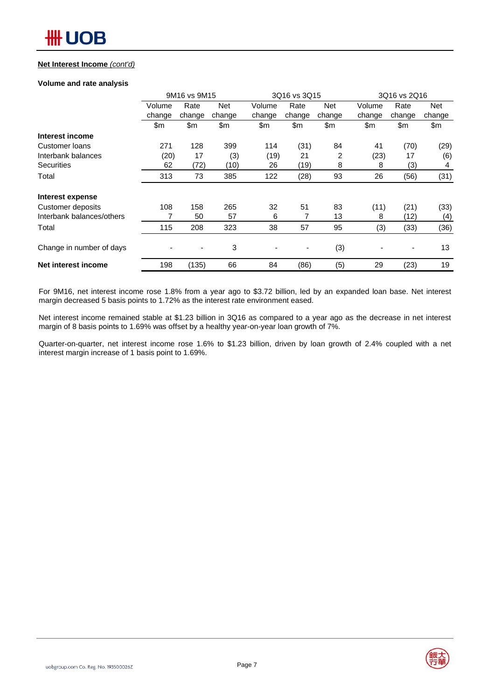#### **Net Interest Income** *(cont'd)*

#### **Volume and rate analysis**

|                           |        | 9M16 vs 9M15 |            |        | 3Q16 vs 3Q15             |            |        | 3Q16 vs 2Q16 |            |  |  |
|---------------------------|--------|--------------|------------|--------|--------------------------|------------|--------|--------------|------------|--|--|
|                           | Volume | Rate         | <b>Net</b> | Volume | Rate                     | <b>Net</b> | Volume | Rate         | <b>Net</b> |  |  |
|                           | change | change       | change     | change | change                   | change     | change | change       | change     |  |  |
|                           | \$m\$  | \$m          | \$m        | \$m    | \$m                      | \$m        | \$m    | \$m          | \$m        |  |  |
| Interest income           |        |              |            |        |                          |            |        |              |            |  |  |
| Customer loans            | 271    | 128          | 399        | 114    | (31)                     | 84         | 41     | (70)         | (29)       |  |  |
| Interbank balances        | (20)   | 17           | (3)        | (19)   | 21                       | 2          | (23)   | 17           | (6)        |  |  |
| <b>Securities</b>         | 62     | (72)         | (10)       | 26     | (19)                     | 8          | 8      | (3)          | 4          |  |  |
| Total                     | 313    | 73           | 385        | 122    | (28)                     | 93         | 26     | (56)         | (31)       |  |  |
| Interest expense          |        |              |            |        |                          |            |        |              |            |  |  |
| Customer deposits         | 108    | 158          | 265        | 32     | 51                       | 83         | (11)   | (21)         | (33)       |  |  |
| Interbank balances/others |        | 50           | 57         | 6      | 7                        | 13         | 8      | (12)         | (4)        |  |  |
| Total                     | 115    | 208          | 323        | 38     | 57                       | 95         | (3)    | (33)         | (36)       |  |  |
| Change in number of days  |        | -            | 3          |        | $\overline{\phantom{a}}$ | (3)        |        |              | 13         |  |  |
| Net interest income       | 198    | (135)        | 66         | 84     | (86)                     | (5)        | 29     | (23)         | 19         |  |  |

For 9M16, net interest income rose 1.8% from a year ago to \$3.72 billion, led by an expanded loan base. Net interest margin decreased 5 basis points to 1.72% as the interest rate environment eased.

Net interest income remained stable at \$1.23 billion in 3Q16 as compared to a year ago as the decrease in net interest margin of 8 basis points to 1.69% was offset by a healthy year-on-year loan growth of 7%.

Quarter-on-quarter, net interest income rose 1.6% to \$1.23 billion, driven by loan growth of 2.4% coupled with a net interest margin increase of 1 basis point to 1.69%.

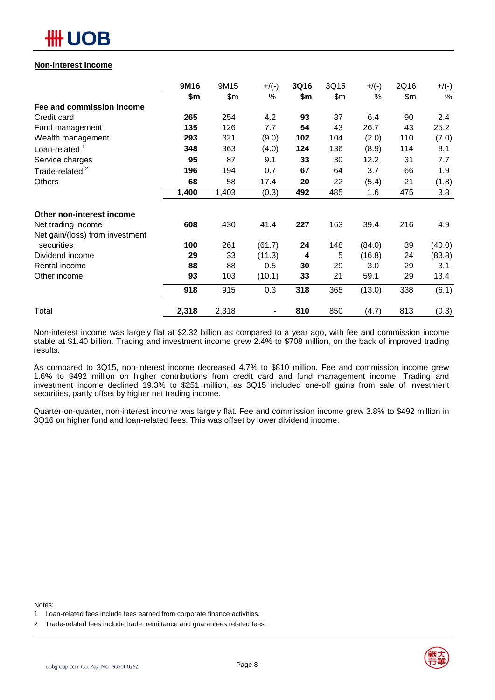# OB

#### **Non-Interest Income**

|                                 | 9M16  | 9M15  | $+$ /(-) | 3Q16 | 3Q15  | $+$ /(-) | 2Q16  | $+/(-)$ |
|---------------------------------|-------|-------|----------|------|-------|----------|-------|---------|
|                                 | \$m   | \$m   | %        | \$m  | \$m\$ | %        | \$m\$ | %       |
| Fee and commission income       |       |       |          |      |       |          |       |         |
| Credit card                     | 265   | 254   | 4.2      | 93   | 87    | 6.4      | 90    | 2.4     |
| Fund management                 | 135   | 126   | 7.7      | 54   | 43    | 26.7     | 43    | 25.2    |
| Wealth management               | 293   | 321   | (9.0)    | 102  | 104   | (2.0)    | 110   | (7.0)   |
| Loan-related <sup>1</sup>       | 348   | 363   | (4.0)    | 124  | 136   | (8.9)    | 114   | 8.1     |
| Service charges                 | 95    | 87    | 9.1      | 33   | 30    | 12.2     | 31    | 7.7     |
| Trade-related <sup>2</sup>      | 196   | 194   | 0.7      | 67   | 64    | 3.7      | 66    | 1.9     |
| Others                          | 68    | 58    | 17.4     | 20   | 22    | (5.4)    | 21    | (1.8)   |
|                                 | 1,400 | 1,403 | (0.3)    | 492  | 485   | 1.6      | 475   | 3.8     |
| Other non-interest income       |       |       |          |      |       |          |       |         |
| Net trading income              | 608   | 430   | 41.4     | 227  | 163   | 39.4     | 216   | 4.9     |
| Net gain/(loss) from investment |       |       |          |      |       |          |       |         |
| securities                      | 100   | 261   | (61.7)   | 24   | 148   | (84.0)   | 39    | (40.0)  |
| Dividend income                 | 29    | 33    | (11.3)   | 4    | 5     | (16.8)   | 24    | (83.8)  |
| Rental income                   | 88    | 88    | 0.5      | 30   | 29    | 3.0      | 29    | 3.1     |
| Other income                    | 93    | 103   | (10.1)   | 33   | 21    | 59.1     | 29    | 13.4    |
|                                 | 918   | 915   | 0.3      | 318  | 365   | (13.0)   | 338   | (6.1)   |
| Total                           | 2,318 | 2,318 |          | 810  | 850   | (4.7)    | 813   | (0.3)   |

Non-interest income was largely flat at \$2.32 billion as compared to a year ago, with fee and commission income stable at \$1.40 billion. Trading and investment income grew 2.4% to \$708 million, on the back of improved trading results.

As compared to 3Q15, non-interest income decreased 4.7% to \$810 million. Fee and commission income grew 1.6% to \$492 million on higher contributions from credit card and fund management income. Trading and investment income declined 19.3% to \$251 million, as 3Q15 included one-off gains from sale of investment securities, partly offset by higher net trading income.

Quarter-on-quarter, non-interest income was largely flat. Fee and commission income grew 3.8% to \$492 million in 3Q16 on higher fund and loan-related fees. This was offset by lower dividend income.

Notes:

2 Trade-related fees include trade, remittance and guarantees related fees.



<sup>1</sup> Loan-related fees include fees earned from corporate finance activities.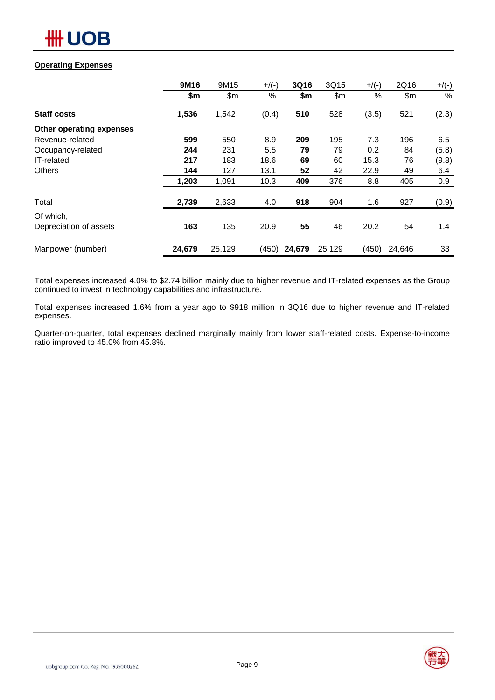

#### **Operating Expenses**

|                          | 9M16   | 9M15   | $+$ /(-) | 3Q16   | 3Q15   | $+$ /(-) | 2Q16   | $+/(-)$       |
|--------------------------|--------|--------|----------|--------|--------|----------|--------|---------------|
|                          | \$m    | \$m    | %        | \$m    | \$m    | %        | \$m\$  | $\frac{0}{0}$ |
| <b>Staff costs</b>       | 1,536  | 1,542  | (0.4)    | 510    | 528    | (3.5)    | 521    | (2.3)         |
| Other operating expenses |        |        |          |        |        |          |        |               |
| Revenue-related          | 599    | 550    | 8.9      | 209    | 195    | 7.3      | 196    | 6.5           |
| Occupancy-related        | 244    | 231    | 5.5      | 79     | 79     | 0.2      | 84     | (5.8)         |
| IT-related               | 217    | 183    | 18.6     | 69     | 60     | 15.3     | 76     | (9.8)         |
| <b>Others</b>            | 144    | 127    | 13.1     | 52     | 42     | 22.9     | 49     | 6.4           |
|                          | 1,203  | 1,091  | 10.3     | 409    | 376    | 8.8      | 405    | 0.9           |
| Total                    | 2,739  | 2,633  | 4.0      | 918    | 904    | 1.6      | 927    | (0.9)         |
| Of which,                |        |        |          |        |        |          |        |               |
| Depreciation of assets   | 163    | 135    | 20.9     | 55     | 46     | 20.2     | 54     | 1.4           |
| Manpower (number)        | 24,679 | 25,129 | (450)    | 24,679 | 25,129 | (450)    | 24,646 | 33            |

Total expenses increased 4.0% to \$2.74 billion mainly due to higher revenue and IT-related expenses as the Group continued to invest in technology capabilities and infrastructure.

Total expenses increased 1.6% from a year ago to \$918 million in 3Q16 due to higher revenue and IT-related expenses.

Quarter-on-quarter, total expenses declined marginally mainly from lower staff-related costs. Expense-to-income ratio improved to 45.0% from 45.8%.

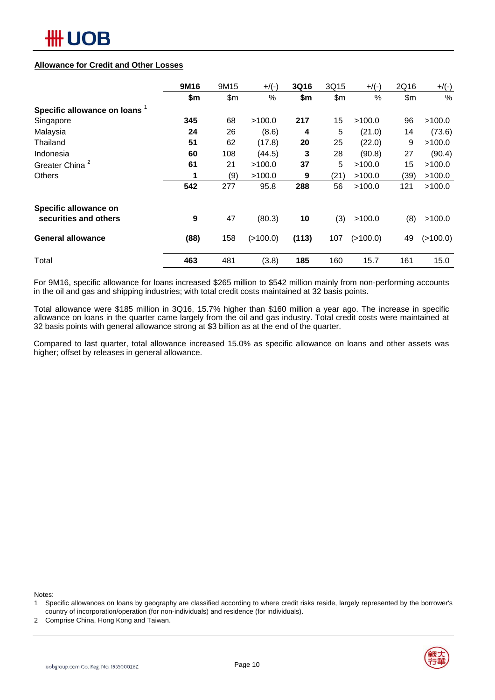# ₩ UOB

#### **Allowance for Credit and Other Losses**

|                               | 9M16 | 9M15 | $+$ /(-)   | 3Q16  | 3Q15 | $+$ /(-)   | 2Q16 | $+/(-)$  |
|-------------------------------|------|------|------------|-------|------|------------|------|----------|
|                               | \$m  | \$m  | %          | \$m   | \$m  | %          | \$m  | %        |
| Specific allowance on loans 1 |      |      |            |       |      |            |      |          |
| Singapore                     | 345  | 68   | >100.0     | 217   | 15   | >100.0     | 96   | >100.0   |
| Malaysia                      | 24   | 26   | (8.6)      | 4     | 5    | (21.0)     | 14   | (73.6)   |
| Thailand                      | 51   | 62   | (17.8)     | 20    | 25   | (22.0)     | 9    | >100.0   |
| Indonesia                     | 60   | 108  | (44.5)     | 3     | 28   | (90.8)     | 27   | (90.4)   |
| Greater China <sup>2</sup>    | 61   | 21   | >100.0     | 37    | 5    | >100.0     | 15   | >100.0   |
| <b>Others</b>                 | 1    | (9)  | >100.0     | 9     | (21) | >100.0     | (39) | >100.0   |
|                               | 542  | 277  | 95.8       | 288   | 56   | >100.0     | 121  | >100.0   |
| Specific allowance on         |      |      |            |       |      |            |      |          |
| securities and others         | 9    | 47   | (80.3)     | 10    | (3)  | >100.0     | (8)  | >100.0   |
| <b>General allowance</b>      | (88) | 158  | ( > 100.0) | (113) | 107  | ( > 100.0) | 49   | (>100.0) |
| Total                         | 463  | 481  | (3.8)      | 185   | 160  | 15.7       | 161  | 15.0     |

For 9M16, specific allowance for loans increased \$265 million to \$542 million mainly from non-performing accounts in the oil and gas and shipping industries; with total credit costs maintained at 32 basis points.

Total allowance were \$185 million in 3Q16, 15.7% higher than \$160 million a year ago. The increase in specific allowance on loans in the quarter came largely from the oil and gas industry. Total credit costs were maintained at 32 basis points with general allowance strong at \$3 billion as at the end of the quarter.

Compared to last quarter, total allowance increased 15.0% as specific allowance on loans and other assets was higher; offset by releases in general allowance.

Notes:

- 1 Specific allowances on loans by geography are classified according to where credit risks reside, largely represented by the borrower's country of incorporation/operation (for non-individuals) and residence (for individuals).
- 2 Comprise China, Hong Kong and Taiwan.

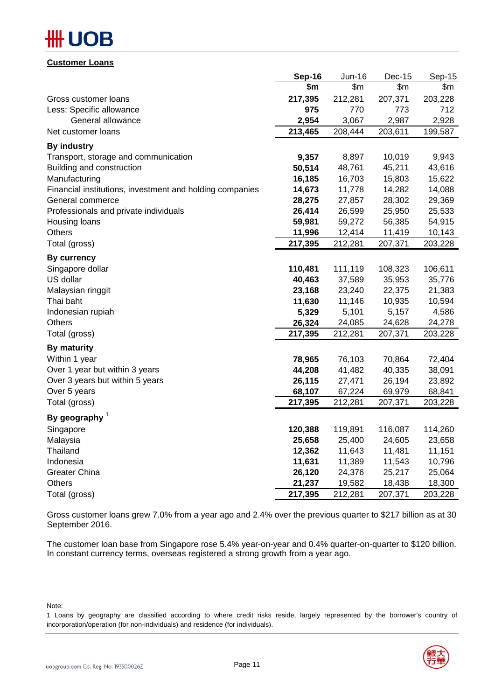# ₩ UOB

|--|

|                                                          | Sep-16  | Jun-16       | Dec-15         | Sep-15  |
|----------------------------------------------------------|---------|--------------|----------------|---------|
|                                                          | \$m     | $\mathsf{m}$ | $\mathsf{S}$ m | \$m     |
| Gross customer loans                                     | 217,395 | 212,281      | 207,371        | 203,228 |
| Less: Specific allowance                                 | 975     | 770          | 773            | 712     |
| General allowance                                        | 2,954   | 3,067        | 2,987          | 2,928   |
| Net customer loans                                       | 213,465 | 208,444      | 203,611        | 199,587 |
| <b>By industry</b>                                       |         |              |                |         |
| Transport, storage and communication                     | 9,357   | 8,897        | 10,019         | 9,943   |
| Building and construction                                | 50,514  | 48,761       | 45,211         | 43,616  |
| Manufacturing                                            | 16,185  | 16,703       | 15,803         | 15,622  |
| Financial institutions, investment and holding companies | 14,673  | 11,778       | 14,282         | 14,088  |
| General commerce                                         | 28,275  | 27,857       | 28,302         | 29,369  |
| Professionals and private individuals                    | 26,414  | 26,599       | 25,950         | 25,533  |
| Housing loans                                            | 59,981  | 59,272       | 56,385         | 54,915  |
| <b>Others</b>                                            | 11,996  | 12,414       | 11,419         | 10,143  |
| Total (gross)                                            | 217,395 | 212,281      | 207,371        | 203,228 |
| <b>By currency</b>                                       |         |              |                |         |
| Singapore dollar                                         | 110,481 | 111,119      | 108,323        | 106,611 |
| US dollar                                                | 40,463  | 37,589       | 35,953         | 35,776  |
| Malaysian ringgit                                        | 23,168  | 23,240       | 22,375         | 21,383  |
| Thai baht                                                | 11,630  | 11,146       | 10,935         | 10,594  |
| Indonesian rupiah                                        | 5,329   | 5,101        | 5,157          | 4,586   |
| Others                                                   | 26,324  | 24,085       | 24,628         | 24,278  |
| Total (gross)                                            | 217,395 | 212,281      | 207,371        | 203,228 |
| By maturity                                              |         |              |                |         |
| Within 1 year                                            | 78,965  | 76,103       | 70,864         | 72,404  |
| Over 1 year but within 3 years                           | 44,208  | 41,482       | 40,335         | 38,091  |
| Over 3 years but within 5 years                          | 26,115  | 27,471       | 26,194         | 23,892  |
| Over 5 years                                             | 68,107  | 67,224       | 69,979         | 68,841  |
| Total (gross)                                            | 217,395 | 212,281      | 207,371        | 203,228 |
| By geography $1$                                         |         |              |                |         |
| Singapore                                                | 120,388 | 119,891      | 116,087        | 114,260 |
| Malaysia                                                 | 25,658  | 25,400       | 24,605         | 23,658  |
| Thailand                                                 | 12,362  | 11,643       | 11,481         | 11,151  |
| Indonesia                                                | 11,631  | 11,389       | 11,543         | 10,796  |
| <b>Greater China</b>                                     | 26,120  | 24,376       | 25,217         | 25,064  |
| <b>Others</b>                                            | 21,237  | 19,582       | 18,438         | 18,300  |
| Total (gross)                                            | 217,395 | 212,281      | 207,371        | 203,228 |

Gross customer loans grew 7.0% from a year ago and 2.4% over the previous quarter to \$217 billion as at 30 September 2016.

The customer loan base from Singapore rose 5.4% year-on-year and 0.4% quarter-on-quarter to \$120 billion. In constant currency terms, overseas registered a strong growth from a year ago.

Note:

1 Loans by geography are classified according to where credit risks reside, largely represented by the borrower's country of incorporation/operation (for non-individuals) and residence (for individuals).

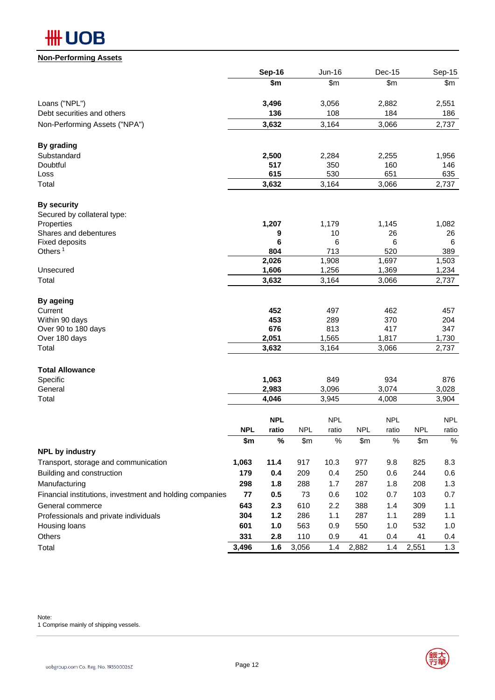

#### **Non-Performing Assets**

|                                                                              |            | Sep-16       |            | <b>Jun-16</b> |            | Dec-15       |            | Sep-15       |
|------------------------------------------------------------------------------|------------|--------------|------------|---------------|------------|--------------|------------|--------------|
|                                                                              |            | \$m          |            | \$m\$         |            | \$m\$        |            | \$m\$        |
| Loans ("NPL")                                                                |            | 3,496        |            | 3,056         |            | 2,882        |            | 2,551        |
| Debt securities and others                                                   |            | 136          |            | 108           |            | 184          |            | 186          |
| Non-Performing Assets ("NPA")                                                |            | 3,632        |            | 3,164         |            | 3,066        |            | 2,737        |
| By grading                                                                   |            |              |            |               |            |              |            |              |
| Substandard                                                                  |            | 2,500        |            | 2,284         |            | 2,255        |            | 1,956        |
| Doubtful                                                                     |            | 517          |            | 350           |            | 160          |            | 146          |
| Loss                                                                         |            | 615          |            | 530           |            | 651          |            | 635          |
| Total                                                                        |            | 3,632        |            | 3,164         |            | 3,066        |            | 2,737        |
| <b>By security</b>                                                           |            |              |            |               |            |              |            |              |
| Secured by collateral type:                                                  |            |              |            |               |            |              |            |              |
| Properties                                                                   |            | 1,207        |            | 1,179         |            | 1,145        |            | 1,082        |
| Shares and debentures<br><b>Fixed deposits</b>                               |            | 9<br>6       |            | 10<br>6       |            | 26<br>6      |            | 26<br>6      |
| Others $1$                                                                   |            | 804          |            | 713           |            | 520          |            | 389          |
|                                                                              |            | 2,026        |            | 1,908         |            | 1,697        |            | 1,503        |
| Unsecured                                                                    |            | 1,606        |            | 1,256         |            | 1,369        |            | 1,234        |
| Total                                                                        |            | 3,632        |            | 3,164         |            | 3,066        |            | 2,737        |
| By ageing                                                                    |            |              |            |               |            |              |            |              |
| Current                                                                      |            | 452          |            | 497           |            | 462          |            | 457          |
| Within 90 days                                                               |            | 453          |            | 289           |            | 370          |            | 204          |
| Over 90 to 180 days<br>Over 180 days                                         |            | 676<br>2,051 |            | 813<br>1,565  |            | 417<br>1,817 |            | 347<br>1,730 |
| Total                                                                        |            | 3,632        |            | 3,164         |            | 3,066        |            | 2,737        |
|                                                                              |            |              |            |               |            |              |            |              |
| <b>Total Allowance</b>                                                       |            |              |            |               |            |              |            |              |
| Specific                                                                     |            | 1,063        |            | 849           |            | 934          |            | 876          |
| General                                                                      |            | 2,983        |            | 3,096         |            | 3,074        |            | 3,028        |
| Total                                                                        |            | 4,046        |            | 3,945         |            | 4,008        |            | 3,904        |
|                                                                              |            | <b>NPL</b>   |            | <b>NPL</b>    |            | <b>NPL</b>   |            | <b>NPL</b>   |
|                                                                              | <b>NPL</b> | ratio        | <b>NPL</b> | ratio         | <b>NPL</b> | ratio        | <b>NPL</b> | ratio        |
|                                                                              | \$m        | $\%$         | \$m\$      | $\%$          | \$m\$      | $\%$         | \$m        | $\%$         |
| <b>NPL by industry</b>                                                       |            |              |            |               |            |              |            |              |
| Transport, storage and communication                                         | 1,063      | 11.4         | 917        | 10.3          | 977        | 9.8          | 825        | 8.3          |
| Building and construction                                                    | 179        | 0.4          | 209        | 0.4           | 250        | 0.6          | 244        | 0.6          |
| Manufacturing                                                                | 298        | 1.8          | 288        | 1.7           | 287        | 1.8          | 208        | 1.3          |
| Financial institutions, investment and holding companies<br>General commerce | 77         | 0.5          | 73         | 0.6<br>2.2    | 102        | 0.7          | 103        | 0.7          |
|                                                                              | 643<br>304 | 2.3<br>$1.2$ | 610        | 1.1           | 388<br>287 | 1.4          | 309<br>289 | 1.1          |
| Professionals and private individuals                                        | 601        | 1.0          | 286<br>563 |               | 550        | 1.1<br>1.0   | 532        | 1.1<br>1.0   |
| Housing loans<br>Others                                                      | 331        | 2.8          | 110        | 0.9<br>0.9    | 41         | 0.4          | 41         | 0.4          |
| Total                                                                        | 3,496      | 1.6          | 3,056      | 1.4           | 2,882      | 1.4          | 2,551      | 1.3          |
|                                                                              |            |              |            |               |            |              |            |              |

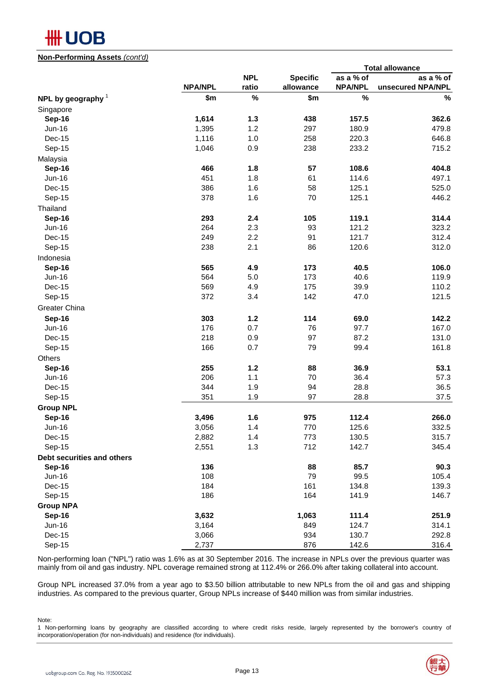### **#H UOB**

#### **Non-Performing Assets** *(cont'd)*

|                            |                |            |                 |                | <b>Total allowance</b> |
|----------------------------|----------------|------------|-----------------|----------------|------------------------|
|                            |                | <b>NPL</b> | <b>Specific</b> | as a % of      | as a % of              |
|                            | <b>NPA/NPL</b> | ratio      | allowance       | <b>NPA/NPL</b> | unsecured NPA/NPL      |
| NPL by geography $1$       | \$m            | $\%$       | \$m             | $\%$           | $\%$                   |
| Singapore                  |                |            |                 |                |                        |
| <b>Sep-16</b>              | 1,614          | $1.3$      | 438             | 157.5          | 362.6                  |
| <b>Jun-16</b>              | 1,395          | 1.2        | 297             | 180.9          | 479.8                  |
| Dec-15                     | 1,116          | 1.0        | 258             | 220.3          | 646.8                  |
| Sep-15                     | 1,046          | 0.9        | 238             | 233.2          | 715.2                  |
| Malaysia                   |                |            |                 |                |                        |
| Sep-16                     | 466            | 1.8        | 57              | 108.6          | 404.8                  |
| <b>Jun-16</b>              | 451            | 1.8        | 61              | 114.6          | 497.1                  |
| Dec-15                     | 386            | 1.6        | 58              | 125.1          | 525.0                  |
| Sep-15                     | 378            | 1.6        | 70              | 125.1          | 446.2                  |
| Thailand                   |                |            |                 |                |                        |
| <b>Sep-16</b>              | 293            | 2.4        | 105             | 119.1          | 314.4                  |
| <b>Jun-16</b>              | 264            | 2.3        | 93              | 121.2          | 323.2                  |
| Dec-15                     | 249            | 2.2        | 91              | 121.7          | 312.4                  |
| Sep-15                     | 238            | 2.1        | 86              | 120.6          | 312.0                  |
| Indonesia                  |                |            |                 |                |                        |
| <b>Sep-16</b>              | 565            | 4.9        | 173             | 40.5           | 106.0                  |
| <b>Jun-16</b>              | 564            | 5.0        | 173             | 40.6           | 119.9                  |
| Dec-15                     | 569            | 4.9        | 175             | 39.9           | 110.2                  |
| Sep-15                     | 372            | 3.4        | 142             | 47.0           | 121.5                  |
|                            |                |            |                 |                |                        |
| Greater China              |                |            |                 |                |                        |
| Sep-16                     | 303            | $1.2$      | 114             | 69.0           | 142.2                  |
| <b>Jun-16</b>              | 176            | 0.7        | 76              | 97.7           | 167.0                  |
| Dec-15                     | 218            | 0.9        | 97              | 87.2           | 131.0                  |
| Sep-15                     | 166            | 0.7        | 79              | 99.4           | 161.8                  |
| Others                     |                |            |                 |                |                        |
| Sep-16                     | 255            | $1.2$      | 88              | 36.9           | 53.1                   |
| <b>Jun-16</b>              | 206            | 1.1        | 70              | 36.4           | 57.3                   |
| Dec-15                     | 344            | 1.9        | 94              | 28.8           | 36.5                   |
| Sep-15                     | 351            | 1.9        | 97              | 28.8           | 37.5                   |
| <b>Group NPL</b>           |                |            |                 |                |                        |
| Sep-16                     | 3,496          | 1.6        | 975             | 112.4          | 266.0                  |
| <b>Jun-16</b>              | 3,056          | 1.4        | 770             | 125.6          | 332.5                  |
| Dec-15                     | 2,882          | 1.4        | 773             | 130.5          | 315.7                  |
| Sep-15                     | 2,551          | 1.3        | 712             | 142.7          | 345.4                  |
| Debt securities and others |                |            |                 |                |                        |
| <b>Sep-16</b>              | 136            |            | 88              | 85.7           | 90.3                   |
| Jun-16                     | 108            |            | 79              | 99.5           | 105.4                  |
| Dec-15                     | 184            |            | 161             | 134.8          | 139.3                  |
| Sep-15                     | 186            |            | 164             | 141.9          | 146.7                  |
| <b>Group NPA</b>           |                |            |                 |                |                        |
| <b>Sep-16</b>              | 3,632          |            | 1,063           | 111.4          | 251.9                  |
| Jun-16                     | 3,164          |            | 849             | 124.7          | 314.1                  |
| Dec-15                     | 3,066          |            | 934             | 130.7          | 292.8                  |
| Sep-15                     | 2,737          |            | 876             | 142.6          | 316.4                  |

Non-performing loan ("NPL") ratio was 1.6% as at 30 September 2016. The increase in NPLs over the previous quarter was mainly from oil and gas industry. NPL coverage remained strong at 112.4% or 266.0% after taking collateral into account.

Group NPL increased 37.0% from a year ago to \$3.50 billion attributable to new NPLs from the oil and gas and shipping industries. As compared to the previous quarter, Group NPLs increase of \$440 million was from similar industries.

Note:

1 Non-performing loans by geography are classified according to where credit risks reside, largely represented by the borrower's country of incorporation/operation (for non-individuals) and residence (for individuals).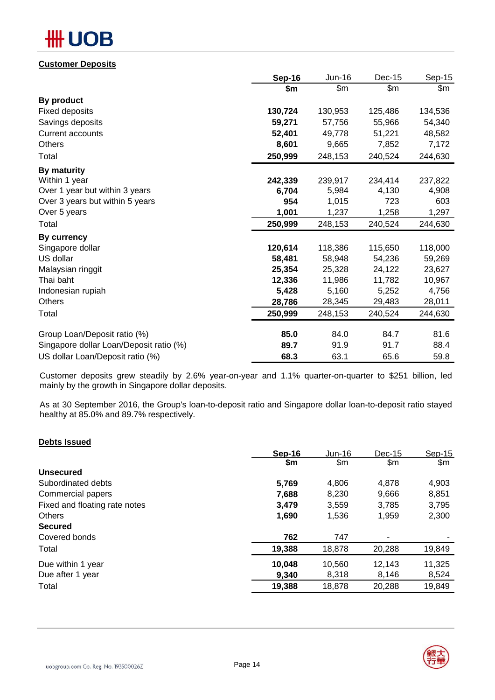# **OB**

#### **Customer Deposits**

|                                         | <b>Sep-16</b> | Jun-16  | Dec-15  | Sep-15  |
|-----------------------------------------|---------------|---------|---------|---------|
|                                         | \$m           | \$m\$   | \$m\$   | \$m\$   |
| By product                              |               |         |         |         |
| <b>Fixed deposits</b>                   | 130,724       | 130,953 | 125,486 | 134,536 |
| Savings deposits                        | 59,271        | 57,756  | 55,966  | 54,340  |
| <b>Current accounts</b>                 | 52,401        | 49,778  | 51,221  | 48,582  |
| <b>Others</b>                           | 8,601         | 9,665   | 7,852   | 7,172   |
| Total                                   | 250,999       | 248,153 | 240,524 | 244,630 |
| By maturity                             |               |         |         |         |
| Within 1 year                           | 242,339       | 239,917 | 234,414 | 237,822 |
| Over 1 year but within 3 years          | 6,704         | 5,984   | 4,130   | 4,908   |
| Over 3 years but within 5 years         | 954           | 1,015   | 723     | 603     |
| Over 5 years                            | 1,001         | 1,237   | 1,258   | 1,297   |
| Total                                   | 250,999       | 248,153 | 240,524 | 244,630 |
| By currency                             |               |         |         |         |
| Singapore dollar                        | 120,614       | 118,386 | 115,650 | 118,000 |
| US dollar                               | 58,481        | 58,948  | 54,236  | 59,269  |
| Malaysian ringgit                       | 25,354        | 25,328  | 24,122  | 23,627  |
| Thai baht                               | 12,336        | 11,986  | 11,782  | 10,967  |
| Indonesian rupiah                       | 5,428         | 5,160   | 5,252   | 4,756   |
| Others                                  | 28,786        | 28,345  | 29,483  | 28,011  |
| Total                                   | 250,999       | 248,153 | 240,524 | 244,630 |
| Group Loan/Deposit ratio (%)            | 85.0          | 84.0    | 84.7    | 81.6    |
| Singapore dollar Loan/Deposit ratio (%) | 89.7          | 91.9    | 91.7    | 88.4    |
| US dollar Loan/Deposit ratio (%)        | 68.3          | 63.1    | 65.6    | 59.8    |

Customer deposits grew steadily by 2.6% year-on-year and 1.1% quarter-on-quarter to \$251 billion, led mainly by the growth in Singapore dollar deposits.

As at 30 September 2016, the Group's loan-to-deposit ratio and Singapore dollar loan-to-deposit ratio stayed healthy at 85.0% and 89.7% respectively.

#### **Debts Issued**

|                               | Sep-16 | $Jun-16$ | $Dec-15$ | $Sep-15$      |
|-------------------------------|--------|----------|----------|---------------|
|                               | \$m    | \$m      | \$m      | $\mathsf{Sm}$ |
| <b>Unsecured</b>              |        |          |          |               |
| Subordinated debts            | 5,769  | 4,806    | 4.878    | 4,903         |
| Commercial papers             | 7,688  | 8.230    | 9,666    | 8,851         |
| Fixed and floating rate notes | 3,479  | 3,559    | 3,785    | 3,795         |
| <b>Others</b>                 | 1,690  | 1,536    | 1,959    | 2,300         |
| <b>Secured</b>                |        |          |          |               |
| Covered bonds                 | 762    | 747      |          |               |
| Total                         | 19,388 | 18,878   | 20,288   | 19,849        |
| Due within 1 year             | 10,048 | 10,560   | 12,143   | 11,325        |
| Due after 1 year              | 9,340  | 8,318    | 8,146    | 8,524         |
| Total                         | 19,388 | 18,878   | 20,288   | 19,849        |
|                               |        |          |          |               |

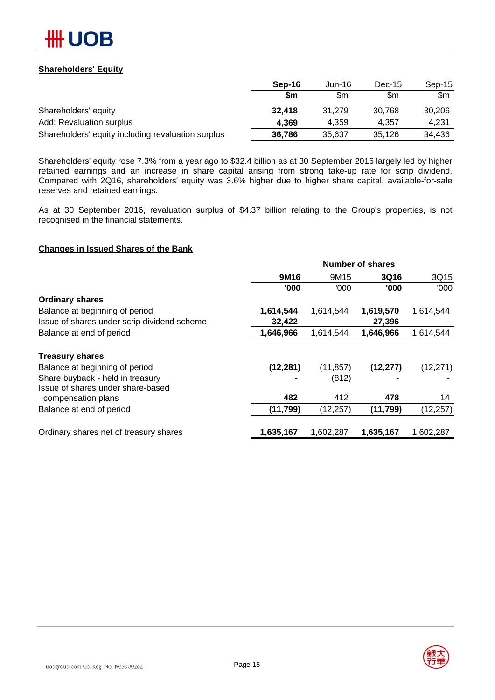

#### **Shareholders' Equity**

|                                                    | Sep-16    | Jun-16 | $Dec-15$ | $Sep-15$ |
|----------------------------------------------------|-----------|--------|----------|----------|
|                                                    | <b>Sm</b> | \$m    | \$m      | \$m      |
| Shareholders' equity                               | 32,418    | 31.279 | 30.768   | 30.206   |
| Add: Revaluation surplus                           | 4.369     | 4.359  | 4.357    | 4.231    |
| Shareholders' equity including revaluation surplus | 36.786    | 35,637 | 35,126   | 34,436   |

Shareholders' equity rose 7.3% from a year ago to \$32.4 billion as at 30 September 2016 largely led by higher retained earnings and an increase in share capital arising from strong take-up rate for scrip dividend. Compared with 2Q16, shareholders' equity was 3.6% higher due to higher share capital, available-for-sale reserves and retained earnings.

As at 30 September 2016, revaluation surplus of \$4.37 billion relating to the Group's properties, is not recognised in the financial statements.

#### **Changes in Issued Shares of the Bank**

|                                             | <b>Number of shares</b> |           |             |           |  |  |  |
|---------------------------------------------|-------------------------|-----------|-------------|-----------|--|--|--|
|                                             | 9M16                    | 9M15      | <b>3Q16</b> | 3Q15      |  |  |  |
|                                             | '000                    | '000      | '000        | '000      |  |  |  |
| <b>Ordinary shares</b>                      |                         |           |             |           |  |  |  |
| Balance at beginning of period              | 1,614,544               | 1,614,544 | 1,619,570   | 1,614,544 |  |  |  |
| Issue of shares under scrip dividend scheme | 32,422                  |           | 27,396      |           |  |  |  |
| Balance at end of period                    | 1,646,966               | 1,614,544 | 1,646,966   | 1,614,544 |  |  |  |
| <b>Treasury shares</b>                      |                         |           |             |           |  |  |  |
| Balance at beginning of period              | (12, 281)               | (11, 857) | (12, 277)   | (12, 271) |  |  |  |
| Share buyback - held in treasury            |                         | (812)     |             |           |  |  |  |
| Issue of shares under share-based           |                         |           |             |           |  |  |  |
| compensation plans                          | 482                     | 412       | 478         | 14        |  |  |  |
| Balance at end of period                    | (11, 799)               | (12, 257) | (11, 799)   | (12, 257) |  |  |  |
| Ordinary shares net of treasury shares      | 1,635,167               | 1,602,287 | 1,635,167   | 1,602,287 |  |  |  |

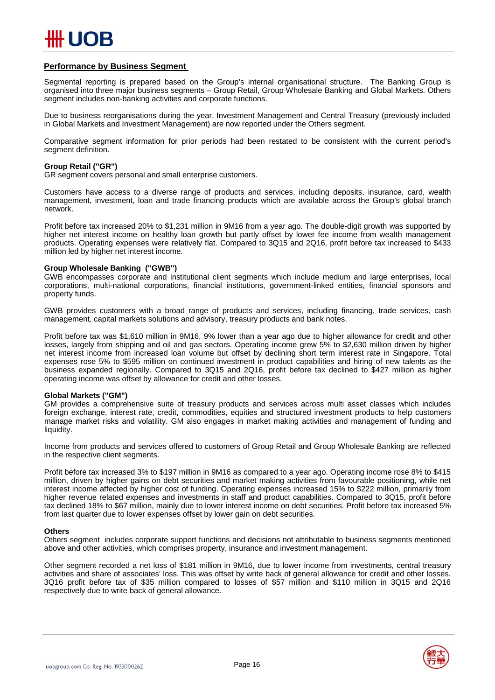

#### **Performance by Business Segment**

Segmental reporting is prepared based on the Group's internal organisational structure. The Banking Group is organised into three major business segments – Group Retail, Group Wholesale Banking and Global Markets. Others segment includes non-banking activities and corporate functions.

Due to business reorganisations during the year, Investment Management and Central Treasury (previously included in Global Markets and Investment Management) are now reported under the Others segment.

Comparative segment information for prior periods had been restated to be consistent with the current period's segment definition.

#### **Group Retail ("GR")**

GR segment covers personal and small enterprise customers.

Customers have access to a diverse range of products and services, including deposits, insurance, card, wealth management, investment, loan and trade financing products which are available across the Group's global branch network.

Profit before tax increased 20% to \$1,231 million in 9M16 from a year ago. The double-digit growth was supported by higher net interest income on healthy loan growth but partly offset by lower fee income from wealth management products. Operating expenses were relatively flat. Compared to 3Q15 and 2Q16, profit before tax increased to \$433 million led by higher net interest income.

#### **Group Wholesale Banking ("GWB")**

GWB encompasses corporate and institutional client segments which include medium and large enterprises, local corporations, multi-national corporations, financial institutions, government-linked entities, financial sponsors and property funds.

GWB provides customers with a broad range of products and services, including financing, trade services, cash management, capital markets solutions and advisory, treasury products and bank notes.

Profit before tax was \$1,610 million in 9M16, 9% lower than a year ago due to higher allowance for credit and other losses, largely from shipping and oil and gas sectors. Operating income grew 5% to \$2,630 million driven by higher net interest income from increased loan volume but offset by declining short term interest rate in Singapore. Total expenses rose 5% to \$595 million on continued investment in product capabilities and hiring of new talents as the business expanded regionally. Compared to 3Q15 and 2Q16, profit before tax declined to \$427 million as higher operating income was offset by allowance for credit and other losses.

#### **Global Markets ("GM")**

GM provides a comprehensive suite of treasury products and services across multi asset classes which includes foreign exchange, interest rate, credit, commodities, equities and structured investment products to help customers manage market risks and volatility. GM also engages in market making activities and management of funding and liquidity.

Income from products and services offered to customers of Group Retail and Group Wholesale Banking are reflected in the respective client segments.

Profit before tax increased 3% to \$197 million in 9M16 as compared to a year ago. Operating income rose 8% to \$415 million, driven by higher gains on debt securities and market making activities from favourable positioning, while net interest income affected by higher cost of funding. Operating expenses increased 15% to \$222 million, primarily from higher revenue related expenses and investments in staff and product capabilities. Compared to 3Q15, profit before tax declined 18% to \$67 million, mainly due to lower interest income on debt securities. Profit before tax increased 5% from last quarter due to lower expenses offset by lower gain on debt securities.

#### **Others**

Others segment includes corporate support functions and decisions not attributable to business segments mentioned above and other activities, which comprises property, insurance and investment management.

Other segment recorded a net loss of \$181 million in 9M16, due to lower income from investments, central treasury activities and share of associates' loss. This was offset by write back of general allowance for credit and other losses. 3Q16 profit before tax of \$35 million compared to losses of \$57 million and \$110 million in 3Q15 and 2Q16 respectively due to write back of general allowance.

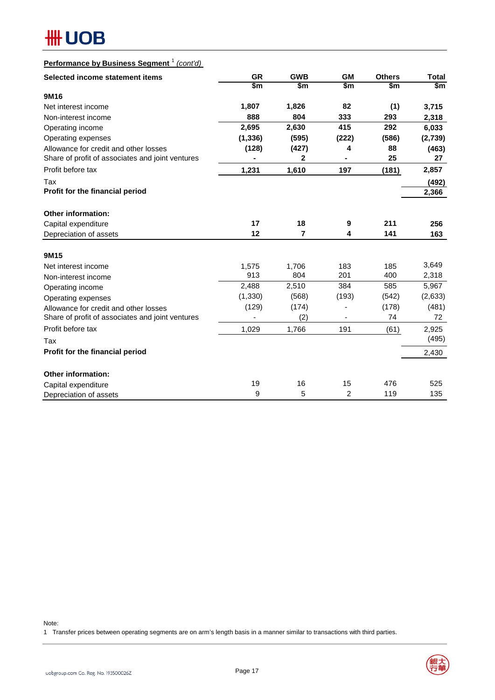### **Performance by Business Segment** <sup>1</sup> *(cont'd)*

| Selected income statement items                  | <b>GR</b> | <b>GWB</b> | <b>GM</b>      | <b>Others</b> | <b>Total</b> |
|--------------------------------------------------|-----------|------------|----------------|---------------|--------------|
|                                                  | \$m       | \$m        | \$m            | \$m           | \$m          |
| 9M16                                             |           |            |                |               |              |
| Net interest income                              | 1,807     | 1,826      | 82             | (1)           | 3,715        |
| Non-interest income                              | 888       | 804        | 333            | 293           | 2,318        |
| Operating income                                 | 2,695     | 2,630      | 415            | 292           | 6,033        |
| Operating expenses                               | (1, 336)  | (595)      | (222)          | (586)         | (2,739)      |
| Allowance for credit and other losses            | (128)     | (427)      | 4              | 88            | (463)        |
| Share of profit of associates and joint ventures |           | 2          |                | 25            | 27           |
| Profit before tax                                | 1,231     | 1,610      | 197            | (181)         | 2,857        |
| Tax                                              |           |            |                |               | (492)        |
| Profit for the financial period                  |           |            |                |               | 2,366        |
| <b>Other information:</b>                        |           |            |                |               |              |
| Capital expenditure                              | 17        | 18         | 9              | 211           | 256          |
| Depreciation of assets                           | 12        | 7          | 4              | 141           | 163          |
|                                                  |           |            |                |               |              |
| 9M15                                             |           |            |                |               |              |
| Net interest income                              | 1,575     | 1,706      | 183            | 185           | 3,649        |
| Non-interest income                              | 913       | 804        | 201            | 400           | 2,318        |
| Operating income                                 | 2,488     | 2,510      | 384            | 585           | 5,967        |
| Operating expenses                               | (1, 330)  | (568)      | (193)          | (542)         | (2,633)      |
| Allowance for credit and other losses            | (129)     | (174)      |                | (178)         | (481)        |
| Share of profit of associates and joint ventures |           | (2)        |                | 74            | 72           |
| Profit before tax                                | 1,029     | 1,766      | 191            | (61)          | 2,925        |
| Tax                                              |           |            |                |               | (495)        |
| Profit for the financial period                  |           |            |                |               | 2,430        |
| <b>Other information:</b>                        |           |            |                |               |              |
| Capital expenditure                              | 19        | 16         | 15             | 476           | 525          |
| Depreciation of assets                           | 9         | 5          | $\overline{2}$ | 119           | 135          |

Note:

1 Transfer prices between operating segments are on arm's length basis in a manner similar to transactions with third parties.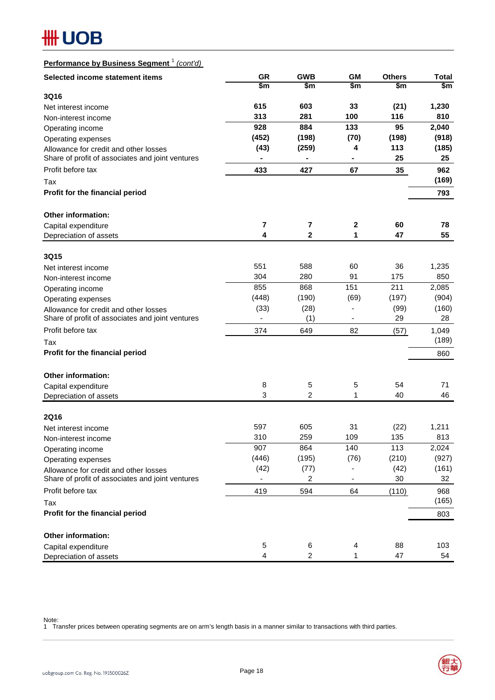### **Performance by Business Segment** <sup>1</sup> *(cont'd)*

| Selected income statement items                                                           | <b>GR</b>               | <b>GWB</b>              | <b>GM</b>           | <b>Others</b> | <b>Total</b> |  |
|-------------------------------------------------------------------------------------------|-------------------------|-------------------------|---------------------|---------------|--------------|--|
|                                                                                           | \$m                     | \$m                     | \$m                 | \$m           | \$m\$        |  |
| 3Q16                                                                                      |                         |                         |                     |               |              |  |
| Net interest income                                                                       | 615                     | 603                     | 33                  | (21)          | 1,230        |  |
| Non-interest income                                                                       | 313                     | 281                     | 100                 | 116           | 810          |  |
| Operating income                                                                          | 928                     | 884                     | 133                 | 95            | 2,040        |  |
| Operating expenses                                                                        | (452)                   | (198)                   | (70)                | (198)         | (918)        |  |
| Allowance for credit and other losses<br>Share of profit of associates and joint ventures | (43)                    | (259)<br>$\blacksquare$ | 4<br>$\blacksquare$ | 113<br>25     | (185)<br>25  |  |
|                                                                                           |                         |                         |                     |               |              |  |
| Profit before tax                                                                         | 433                     | 427                     | 67                  | 35            | 962<br>(169) |  |
| Tax                                                                                       |                         |                         |                     |               |              |  |
| Profit for the financial period                                                           |                         |                         |                     |               | 793          |  |
| <b>Other information:</b>                                                                 |                         |                         |                     |               |              |  |
| Capital expenditure                                                                       | $\overline{\mathbf{7}}$ | $\overline{\mathbf{7}}$ | $\boldsymbol{2}$    | 60            | 78           |  |
| Depreciation of assets                                                                    | 4                       | $\mathbf{2}$            | 1                   | 47            | 55           |  |
|                                                                                           |                         |                         |                     |               |              |  |
| 3Q15<br>Net interest income                                                               | 551                     | 588                     | 60                  | 36            | 1,235        |  |
| Non-interest income                                                                       | 304                     | 280                     | 91                  | 175           | 850          |  |
| Operating income                                                                          | 855                     | 868                     | 151                 | 211           | 2,085        |  |
| Operating expenses                                                                        | (448)                   | (190)                   | (69)                | (197)         | (904)        |  |
| Allowance for credit and other losses                                                     | (33)                    | (28)                    |                     | (99)          | (160)        |  |
| Share of profit of associates and joint ventures                                          |                         | (1)                     |                     | 29            | 28           |  |
| Profit before tax                                                                         | 374                     | 649                     | 82                  | (57)          | 1,049        |  |
| Tax                                                                                       |                         |                         |                     |               | (189)        |  |
| Profit for the financial period                                                           |                         |                         |                     |               | 860          |  |
|                                                                                           |                         |                         |                     |               |              |  |
| <b>Other information:</b>                                                                 |                         |                         |                     |               |              |  |
| Capital expenditure                                                                       | 8                       | 5                       | 5                   | 54            | 71           |  |
| Depreciation of assets                                                                    | 3                       | $\overline{c}$          | 1                   | 40            | 46           |  |
| <b>2Q16</b>                                                                               |                         |                         |                     |               |              |  |
| Net interest income                                                                       | 597                     | 605                     | 31                  | (22)          | 1,211        |  |
| Non-interest income                                                                       | 310                     | 259                     | 109                 | 135           | 813          |  |
| Operating income                                                                          | 907                     | 864                     | 140                 | 113           | 2,024        |  |
| Operating expenses                                                                        | (446)                   | (195)                   | (76)                | (210)         | (927)        |  |
| Allowance for credit and other losses                                                     | (42)                    | (77)                    |                     | (42)          | (161)        |  |
| Share of profit of associates and joint ventures                                          |                         | 2                       |                     | 30            | 32           |  |
| Profit before tax                                                                         | 419                     | 594                     | 64                  | (110)         | 968          |  |
| Tax                                                                                       |                         |                         |                     |               | (165)        |  |
| Profit for the financial period                                                           |                         |                         |                     |               | 803          |  |
| Other information:                                                                        |                         |                         |                     |               |              |  |
| Capital expenditure                                                                       | 5                       | 6                       | 4                   | 88            | 103          |  |
| Depreciation of assets                                                                    | 4                       | $\overline{c}$          | 1                   | 47            | 54           |  |

Note:

1 Transfer prices between operating segments are on arm's length basis in a manner similar to transactions with third parties.

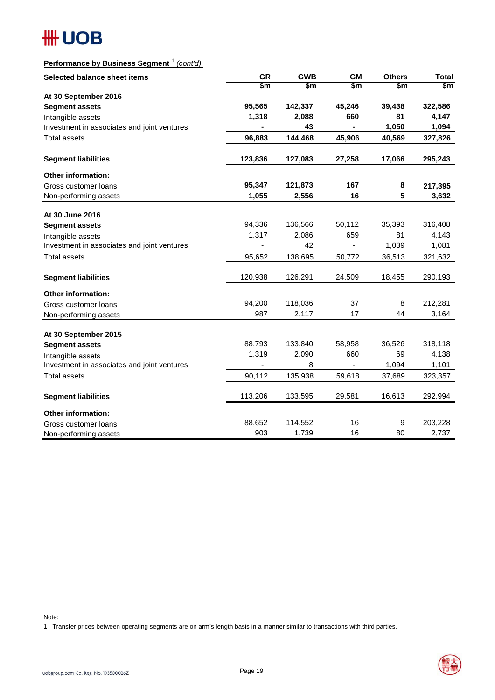### **Performance by Business Segment** <sup>1</sup> *(cont'd)*

| Selected balance sheet items                  | <b>GR</b> | <b>GWB</b> | <b>GM</b>                    | <b>Others</b> | <b>Total</b> |  |
|-----------------------------------------------|-----------|------------|------------------------------|---------------|--------------|--|
|                                               | \$m       | \$m        | $\mathsf{sm}$                | \$m           | \$m\$        |  |
| At 30 September 2016                          |           |            |                              |               |              |  |
| <b>Segment assets</b>                         | 95,565    | 142,337    | 45,246                       | 39,438        | 322,586      |  |
| Intangible assets                             | 1,318     | 2,088      | 660                          | 81            | 4,147        |  |
| Investment in associates and joint ventures   |           | 43         |                              | 1,050         | 1,094        |  |
| <b>Total assets</b>                           | 96,883    | 144,468    | 45,906                       | 40,569        | 327,826      |  |
| <b>Segment liabilities</b>                    | 123,836   | 127,083    | 27,258                       | 17,066        | 295,243      |  |
| <b>Other information:</b>                     |           |            |                              |               |              |  |
| Gross customer loans                          | 95,347    | 121,873    | 167                          | 8             | 217,395      |  |
| Non-performing assets                         | 1,055     | 2,556      | 16                           | 5             | 3,632        |  |
| At 30 June 2016                               |           |            |                              |               |              |  |
| <b>Segment assets</b>                         | 94,336    | 136,566    | 50,112                       | 35,393        | 316,408      |  |
| Intangible assets                             | 1,317     | 2,086      | 659                          | 81            | 4,143        |  |
| Investment in associates and joint ventures   |           | 42         | $\qquad \qquad \blacksquare$ | 1,039         | 1,081        |  |
| <b>Total assets</b>                           | 95,652    | 138,695    | 50,772                       | 36,513        | 321,632      |  |
| <b>Segment liabilities</b>                    | 120,938   | 126,291    | 24,509                       | 18,455        | 290,193      |  |
| <b>Other information:</b>                     |           |            |                              |               |              |  |
| Gross customer loans                          | 94,200    | 118,036    | 37                           | 8             | 212,281      |  |
| Non-performing assets                         | 987       | 2,117      | 17                           | 44            | 3,164        |  |
|                                               |           |            |                              |               |              |  |
| At 30 September 2015<br><b>Segment assets</b> | 88,793    | 133,840    | 58,958                       | 36,526        | 318,118      |  |
| Intangible assets                             | 1,319     | 2,090      | 660                          | 69            | 4,138        |  |
| Investment in associates and joint ventures   | ٠         | 8          |                              | 1,094         | 1,101        |  |
| <b>Total assets</b>                           | 90,112    | 135,938    | 59,618                       | 37,689        | 323,357      |  |
|                                               |           |            |                              |               |              |  |
| <b>Segment liabilities</b>                    | 113,206   | 133,595    | 29,581                       | 16,613        | 292,994      |  |
| <b>Other information:</b>                     |           |            |                              |               |              |  |
| Gross customer loans                          | 88,652    | 114,552    | 16                           | 9             | 203,228      |  |
| Non-performing assets                         | 903       | 1,739      | 16                           | 80            | 2,737        |  |

Note:

1 Transfer prices between operating segments are on arm's length basis in a manner similar to transactions with third parties.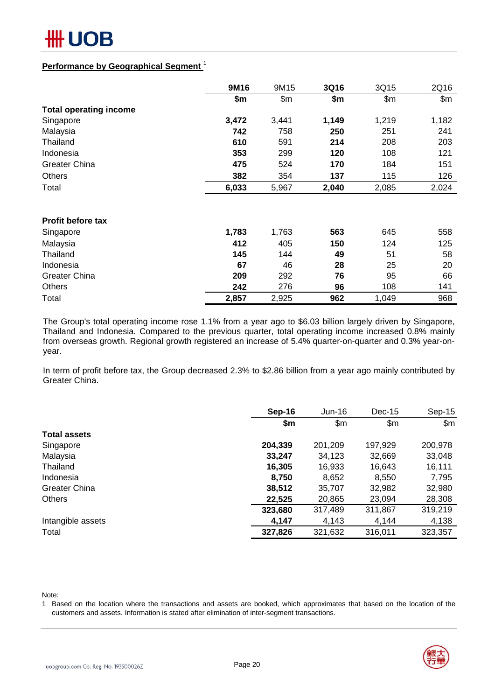

#### **Performance by Geographical Segment** <sup>1</sup>

|                               | 9M16  | 9M15  | 3Q16  | 3Q15  | 2Q16  |
|-------------------------------|-------|-------|-------|-------|-------|
|                               | \$m   | \$m\$ | \$m   | \$m\$ | \$m\$ |
| <b>Total operating income</b> |       |       |       |       |       |
| Singapore                     | 3,472 | 3,441 | 1,149 | 1,219 | 1,182 |
| Malaysia                      | 742   | 758   | 250   | 251   | 241   |
| Thailand                      | 610   | 591   | 214   | 208   | 203   |
| Indonesia                     | 353   | 299   | 120   | 108   | 121   |
| Greater China                 | 475   | 524   | 170   | 184   | 151   |
| <b>Others</b>                 | 382   | 354   | 137   | 115   | 126   |
| Total                         | 6,033 | 5,967 | 2,040 | 2,085 | 2,024 |
|                               |       |       |       |       |       |
| <b>Profit before tax</b>      |       |       |       |       |       |
| Singapore                     | 1,783 | 1,763 | 563   | 645   | 558   |
| Malaysia                      | 412   | 405   | 150   | 124   | 125   |
| Thailand                      | 145   | 144   | 49    | 51    | 58    |
| Indonesia                     | 67    | 46    | 28    | 25    | 20    |
| <b>Greater China</b>          | 209   | 292   | 76    | 95    | 66    |
| <b>Others</b>                 | 242   | 276   | 96    | 108   | 141   |
| Total                         | 2,857 | 2,925 | 962   | 1,049 | 968   |

The Group's total operating income rose 1.1% from a year ago to \$6.03 billion largely driven by Singapore, Thailand and Indonesia. Compared to the previous quarter, total operating income increased 0.8% mainly from overseas growth. Regional growth registered an increase of 5.4% quarter-on-quarter and 0.3% year-onyear.

In term of profit before tax, the Group decreased 2.3% to \$2.86 billion from a year ago mainly contributed by Greater China.

|                      | Sep-16  | Jun-16  | $Dec-15$ | $Sep-15$ |
|----------------------|---------|---------|----------|----------|
|                      | \$m     | \$m\$   | \$m\$    | \$m\$    |
| <b>Total assets</b>  |         |         |          |          |
| Singapore            | 204,339 | 201,209 | 197,929  | 200,978  |
| Malaysia             | 33,247  | 34,123  | 32,669   | 33,048   |
| Thailand             | 16,305  | 16,933  | 16,643   | 16,111   |
| Indonesia            | 8,750   | 8,652   | 8,550    | 7,795    |
| <b>Greater China</b> | 38,512  | 35,707  | 32,982   | 32,980   |
| <b>Others</b>        | 22,525  | 20,865  | 23,094   | 28,308   |
|                      | 323,680 | 317,489 | 311,867  | 319,219  |
| Intangible assets    | 4,147   | 4,143   | 4,144    | 4,138    |
| Total                | 327,826 | 321,632 | 316,011  | 323,357  |

Note:

1 Based on the location where the transactions and assets are booked, which approximates that based on the location of the customers and assets. Information is stated after elimination of inter-segment transactions.

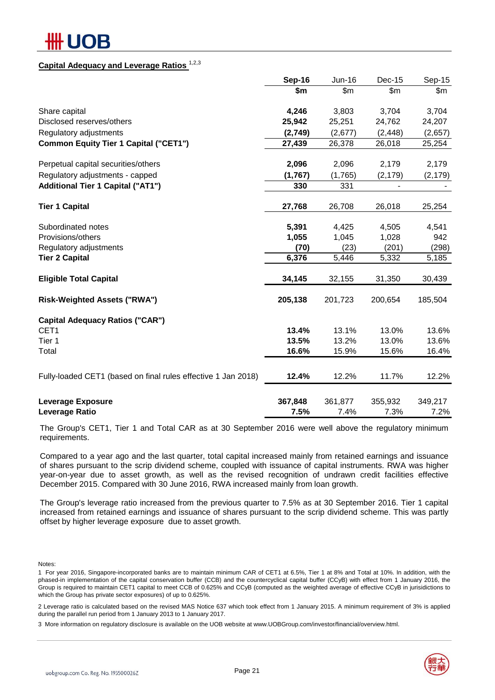# IOB

#### **Capital Adequacy and Leverage Ratios** 1,2,3

|                                                               | Sep-16  | Jun-16  | Dec-15   | Sep-15   |
|---------------------------------------------------------------|---------|---------|----------|----------|
|                                                               | \$m     | \$m\$   | \$m\$    | \$m      |
| Share capital                                                 | 4,246   | 3,803   | 3,704    | 3,704    |
| Disclosed reserves/others                                     | 25,942  | 25,251  | 24,762   | 24,207   |
| Regulatory adjustments                                        | (2,749) | (2,677) | (2, 448) | (2,657)  |
| <b>Common Equity Tier 1 Capital ("CET1")</b>                  | 27,439  | 26,378  | 26,018   | 25,254   |
| Perpetual capital securities/others                           | 2,096   | 2,096   | 2,179    | 2,179    |
| Regulatory adjustments - capped                               | (1,767) | (1,765) | (2, 179) | (2, 179) |
| <b>Additional Tier 1 Capital ("AT1")</b>                      | 330     | 331     |          |          |
| <b>Tier 1 Capital</b>                                         | 27,768  | 26,708  | 26,018   | 25,254   |
| Subordinated notes                                            | 5,391   | 4,425   | 4,505    | 4,541    |
| Provisions/others                                             | 1,055   | 1,045   | 1,028    | 942      |
| Regulatory adjustments                                        | (70)    | (23)    | (201)    | (298)    |
| <b>Tier 2 Capital</b>                                         | 6,376   | 5,446   | 5,332    | 5,185    |
| <b>Eligible Total Capital</b>                                 | 34,145  | 32,155  | 31,350   | 30,439   |
| <b>Risk-Weighted Assets ("RWA")</b>                           | 205,138 | 201,723 | 200,654  | 185,504  |
| <b>Capital Adequacy Ratios ("CAR")</b>                        |         |         |          |          |
| CET1                                                          | 13.4%   | 13.1%   | 13.0%    | 13.6%    |
| Tier 1                                                        | 13.5%   | 13.2%   | 13.0%    | 13.6%    |
| Total                                                         | 16.6%   | 15.9%   | 15.6%    | 16.4%    |
| Fully-loaded CET1 (based on final rules effective 1 Jan 2018) | 12.4%   | 12.2%   | 11.7%    | 12.2%    |
| <b>Leverage Exposure</b>                                      | 367,848 | 361,877 | 355,932  | 349,217  |
| Leverage Ratio                                                | 7.5%    | 7.4%    | 7.3%     | 7.2%     |

The Group's CET1, Tier 1 and Total CAR as at 30 September 2016 were well above the regulatory minimum requirements.

Compared to a year ago and the last quarter, total capital increased mainly from retained earnings and issuance of shares pursuant to the scrip dividend scheme, coupled with issuance of capital instruments. RWA was higher year-on-year due to asset growth, as well as the revised recognition of undrawn credit facilities effective December 2015. Compared with 30 June 2016, RWA increased mainly from loan growth.

The Group's leverage ratio increased from the previous quarter to 7.5% as at 30 September 2016. Tier 1 capital increased from retained earnings and issuance of shares pursuant to the scrip dividend scheme. This was partly offset by higher leverage exposure due to asset growth.

Notes:

2 Leverage ratio is calculated based on the revised MAS Notice 637 which took effect from 1 January 2015. A minimum requirement of 3% is applied during the parallel run period from 1 January 2013 to 1 January 2017.

3 More information on regulatory disclosure is available on the UOB website at www.UOBGroup.com/investor/financial/overview.html.



<sup>1</sup> For year 2016, Singapore-incorporated banks are to maintain minimum CAR of CET1 at 6.5%, Tier 1 at 8% and Total at 10%. In addition, with the phased-in implementation of the capital conservation buffer (CCB) and the countercyclical capital buffer (CCyB) with effect from 1 January 2016, the Group is required to maintain CET1 capital to meet CCB of 0.625% and CCyB (computed as the weighted average of effective CCyB in jurisidictions to which the Group has private sector exposures) of up to 0.625%.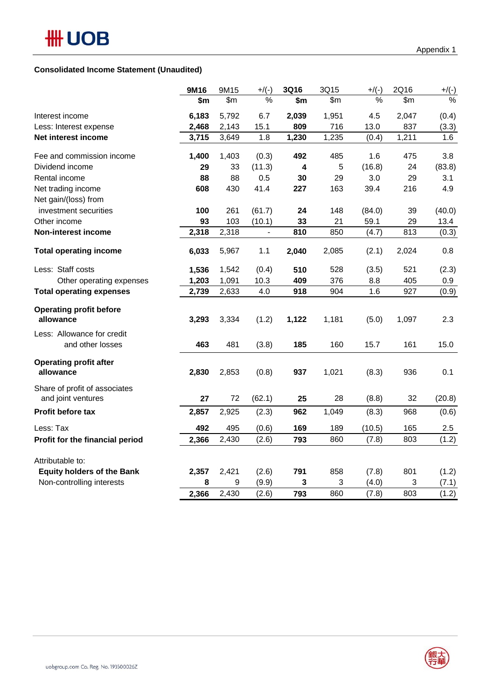#### **Consolidated Income Statement (Unaudited)**

|                                   | 9M16  | 9M15  | $+$ /(-)                 | 3Q16  | 3Q15  | $+$ /(-) | 2Q16  | $+/(-)$ |
|-----------------------------------|-------|-------|--------------------------|-------|-------|----------|-------|---------|
|                                   | \$m   | \$m   | $\%$                     | \$m   | \$m\$ | %        | \$m   | $\%$    |
| Interest income                   | 6,183 | 5,792 | 6.7                      | 2,039 | 1,951 | 4.5      | 2,047 | (0.4)   |
| Less: Interest expense            | 2,468 | 2,143 | 15.1                     | 809   | 716   | 13.0     | 837   | (3.3)   |
| Net interest income               | 3,715 | 3,649 | 1.8                      | 1,230 | 1,235 | (0.4)    | 1,211 | 1.6     |
| Fee and commission income         | 1,400 | 1,403 | (0.3)                    | 492   | 485   | 1.6      | 475   | 3.8     |
| Dividend income                   | 29    | 33    | (11.3)                   | 4     | 5     | (16.8)   | 24    | (83.8)  |
| Rental income                     | 88    | 88    | 0.5                      | 30    | 29    | 3.0      | 29    | 3.1     |
| Net trading income                | 608   | 430   | 41.4                     | 227   | 163   | 39.4     | 216   | 4.9     |
| Net gain/(loss) from              |       |       |                          |       |       |          |       |         |
| investment securities             | 100   | 261   | (61.7)                   | 24    | 148   | (84.0)   | 39    | (40.0)  |
| Other income                      | 93    | 103   | (10.1)                   | 33    | 21    | 59.1     | 29    | 13.4    |
| Non-interest income               | 2,318 | 2,318 | $\overline{\phantom{a}}$ | 810   | 850   | (4.7)    | 813   | (0.3)   |
| <b>Total operating income</b>     | 6,033 | 5,967 | 1.1                      | 2,040 | 2,085 | (2.1)    | 2,024 | 0.8     |
| Less: Staff costs                 | 1,536 | 1,542 | (0.4)                    | 510   | 528   | (3.5)    | 521   | (2.3)   |
| Other operating expenses          | 1,203 | 1,091 | 10.3                     | 409   | 376   | 8.8      | 405   | 0.9     |
| <b>Total operating expenses</b>   | 2,739 | 2,633 | 4.0                      | 918   | 904   | 1.6      | 927   | (0.9)   |
| <b>Operating profit before</b>    |       |       |                          |       |       |          |       |         |
| allowance                         | 3,293 | 3,334 | (1.2)                    | 1,122 | 1,181 | (5.0)    | 1,097 | 2.3     |
| Less: Allowance for credit        |       |       |                          |       |       |          |       |         |
| and other losses                  | 463   | 481   | (3.8)                    | 185   | 160   | 15.7     | 161   | 15.0    |
| <b>Operating profit after</b>     |       |       |                          |       |       |          |       |         |
| allowance                         | 2,830 | 2,853 | (0.8)                    | 937   | 1,021 | (8.3)    | 936   | 0.1     |
| Share of profit of associates     |       |       |                          |       |       |          |       |         |
| and joint ventures                | 27    | 72    | (62.1)                   | 25    | 28    | (8.8)    | 32    | (20.8)  |
| Profit before tax                 | 2,857 | 2,925 | (2.3)                    | 962   | 1,049 | (8.3)    | 968   | (0.6)   |
| Less: Tax                         | 492   | 495   | (0.6)                    | 169   | 189   | (10.5)   | 165   | 2.5     |
| Profit for the financial period   | 2,366 | 2,430 | (2.6)                    | 793   | 860   | (7.8)    | 803   | (1.2)   |
| Attributable to:                  |       |       |                          |       |       |          |       |         |
| <b>Equity holders of the Bank</b> | 2,357 | 2,421 | (2.6)                    | 791   | 858   | (7.8)    | 801   | (1.2)   |
| Non-controlling interests         | 8     | 9     | (9.9)                    | 3     | 3     | (4.0)    | 3     | (7.1)   |
|                                   | 2,366 | 2,430 | (2.6)                    | 793   | 860   | (7.8)    | 803   | (1.2)   |
|                                   |       |       |                          |       |       |          |       |         |

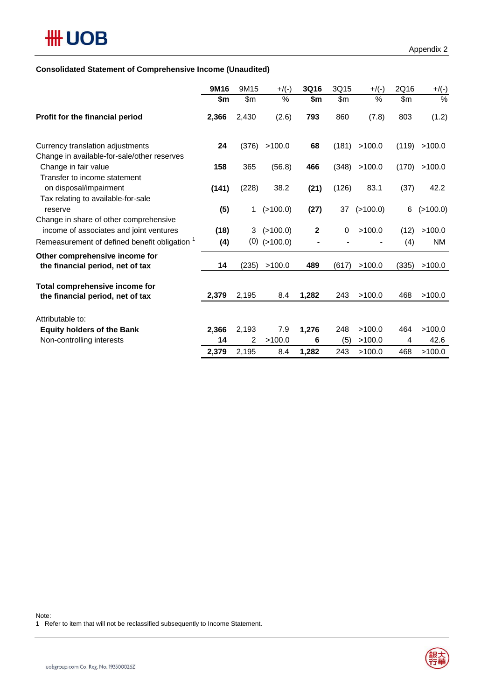#### **Consolidated Statement of Comprehensive Income (Unaudited)**

|                                                                                                                                    | 9M16        | 9M15  | $+$ /(-)                   | <b>3Q16</b> | 3Q15  | $+$ /(-) | 2Q16        | $+/(-)$             |
|------------------------------------------------------------------------------------------------------------------------------------|-------------|-------|----------------------------|-------------|-------|----------|-------------|---------------------|
|                                                                                                                                    | \$m         | \$m\$ | %                          | \$m         | \$m\$ | %        | \$m\$       | $\%$                |
| Profit for the financial period                                                                                                    | 2,366       | 2,430 | (2.6)                      | 793         | 860   | (7.8)    | 803         | (1.2)               |
| Currency translation adjustments<br>Change in available-for-sale/other reserves                                                    | 24          | (376) | >100.0                     | 68          | (181) | >100.0   | (119)       | >100.0              |
| Change in fair value<br>Transfer to income statement                                                                               | 158         | 365   | (56.8)                     | 466         | (348) | >100.0   | (170)       | >100.0              |
| on disposal/impairment<br>Tax relating to available-for-sale                                                                       | (141)       | (228) | 38.2                       | (21)        | (126) | 83.1     | (37)        | 42.2                |
| reserve                                                                                                                            | (5)         | 1     | (>100.0)                   | (27)        | 37    | (>100.0) | 6           | (>100.0)            |
| Change in share of other comprehensive<br>income of associates and joint ventures<br>Remeasurement of defined benefit obligation 1 | (18)<br>(4) | 3     | (>100.0)<br>$(0)$ (>100.0) | $\mathbf 2$ | 0     | >100.0   | (12)<br>(4) | >100.0<br><b>NM</b> |
| Other comprehensive income for<br>the financial period, net of tax                                                                 | 14          | (235) | >100.0                     | 489         | (617) | >100.0   | (335)       | >100.0              |
| Total comprehensive income for<br>the financial period, net of tax                                                                 | 2,379       | 2,195 | 8.4                        | 1,282       | 243   | >100.0   | 468         | >100.0              |
| Attributable to:                                                                                                                   |             |       |                            |             |       |          |             |                     |
| <b>Equity holders of the Bank</b>                                                                                                  | 2,366       | 2,193 | 7.9                        | 1,276       | 248   | >100.0   | 464         | >100.0              |
| Non-controlling interests                                                                                                          | 14          | 2     | >100.0                     | 6           | (5)   | >100.0   | 4           | 42.6                |
|                                                                                                                                    | 2,379       | 2,195 | 8.4                        | 1,282       | 243   | >100.0   | 468         | >100.0              |

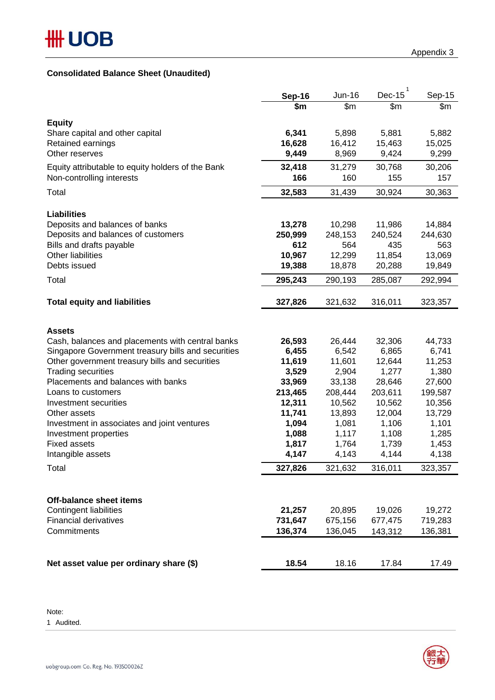#### **Consolidated Balance Sheet (Unaudited)**

|                                                                      | <b>Sep-16</b>     | Jun-16            | Dec-15            | Sep-15           |
|----------------------------------------------------------------------|-------------------|-------------------|-------------------|------------------|
|                                                                      | \$m               | $\overline{\$m}$  | \$m\$             | \$m              |
| <b>Equity</b>                                                        |                   |                   |                   |                  |
| Share capital and other capital                                      | 6,341             | 5,898             | 5,881             | 5,882            |
| Retained earnings                                                    | 16,628            | 16,412            | 15,463            | 15,025           |
| Other reserves                                                       | 9,449             | 8,969             | 9,424             | 9,299            |
| Equity attributable to equity holders of the Bank                    | 32,418            | 31,279            | 30,768            | 30,206           |
| Non-controlling interests                                            | 166               | 160               | 155               | 157              |
| Total                                                                | 32,583            | 31,439            | 30,924            | 30,363           |
|                                                                      |                   |                   |                   |                  |
| <b>Liabilities</b>                                                   |                   | 10,298            | 11,986            | 14,884           |
| Deposits and balances of banks<br>Deposits and balances of customers | 13,278<br>250,999 | 248,153           | 240,524           | 244,630          |
| Bills and drafts payable                                             | 612               | 564               | 435               | 563              |
| <b>Other liabilities</b>                                             | 10,967            | 12,299            | 11,854            | 13,069           |
| Debts issued                                                         | 19,388            | 18,878            | 20,288            | 19,849           |
| Total                                                                | 295,243           | 290,193           | 285,087           | 292,994          |
|                                                                      |                   |                   |                   |                  |
| <b>Total equity and liabilities</b>                                  | 327,826           | 321,632           | 316,011           | 323,357          |
|                                                                      |                   |                   |                   |                  |
| <b>Assets</b>                                                        |                   |                   |                   |                  |
| Cash, balances and placements with central banks                     | 26,593            | 26,444            | 32,306            | 44,733           |
| Singapore Government treasury bills and securities                   | 6,455             | 6,542             | 6,865             | 6,741            |
| Other government treasury bills and securities                       | 11,619            | 11,601            | 12,644            | 11,253           |
| <b>Trading securities</b>                                            | 3,529             | 2,904             | 1,277             | 1,380            |
| Placements and balances with banks                                   | 33,969            | 33,138            | 28,646            | 27,600           |
| Loans to customers                                                   | 213,465<br>12,311 | 208,444<br>10,562 | 203,611<br>10,562 | 199,587          |
| Investment securities<br>Other assets                                | 11,741            | 13,893            | 12,004            | 10,356<br>13,729 |
| Investment in associates and joint ventures                          | 1,094             | 1,081             | 1,106             | 1,101            |
| Investment properties                                                | 1,088             | 1,117             | 1,108             | 1,285            |
| <b>Fixed assets</b>                                                  | 1,817             | 1,764             | 1,739             | 1,453            |
| Intangible assets                                                    | 4,147             | 4,143             | 4,144             | 4,138            |
| Total                                                                | 327,826           | 321,632           | 316,011           | 323,357          |
|                                                                      |                   |                   |                   |                  |
|                                                                      |                   |                   |                   |                  |
| <b>Off-balance sheet items</b><br><b>Contingent liabilities</b>      | 21,257            | 20,895            | 19,026            | 19,272           |
| <b>Financial derivatives</b>                                         | 731,647           | 675,156           | 677,475           | 719,283          |
| Commitments                                                          | 136,374           | 136,045           | 143,312           | 136,381          |
|                                                                      |                   |                   |                   |                  |
|                                                                      |                   |                   |                   |                  |
| Net asset value per ordinary share (\$)                              | 18.54             | 18.16             | 17.84             | 17.49            |

Note: 1 Audited.

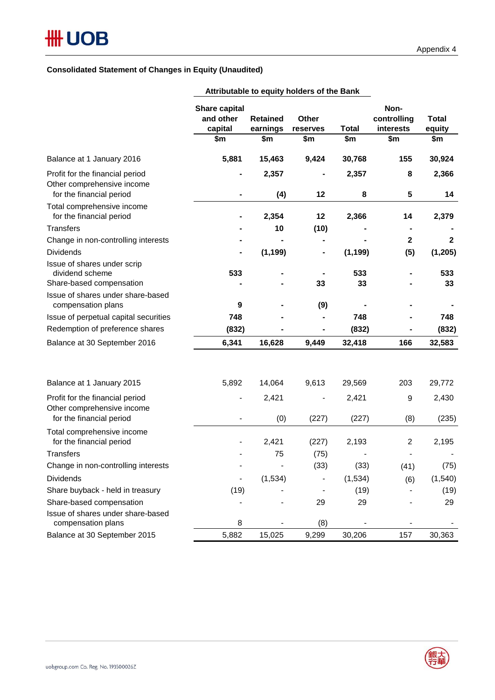#### **Consolidated Statement of Changes in Equity (Unaudited)**

|                                                                                           |                                              |                             | Attributable to equity holders of the Barin |              |                                  |                        |
|-------------------------------------------------------------------------------------------|----------------------------------------------|-----------------------------|---------------------------------------------|--------------|----------------------------------|------------------------|
|                                                                                           | <b>Share capital</b><br>and other<br>capital | <b>Retained</b><br>earnings | Other<br>reserves                           | <b>Total</b> | Non-<br>controlling<br>interests | <b>Total</b><br>equity |
|                                                                                           | \$m                                          | \$m                         | \$m                                         | \$m          | \$m                              | \$m                    |
| Balance at 1 January 2016                                                                 | 5,881                                        | 15,463                      | 9,424                                       | 30,768       | 155                              | 30,924                 |
| Profit for the financial period<br>Other comprehensive income<br>for the financial period |                                              | 2,357<br>(4)                | 12                                          | 2,357<br>8   | 8<br>5                           | 2,366<br>14            |
| Total comprehensive income<br>for the financial period                                    |                                              | 2,354                       | 12                                          | 2,366        | 14                               | 2,379                  |
| Transfers                                                                                 |                                              | 10                          | (10)                                        |              |                                  |                        |
| Change in non-controlling interests                                                       |                                              |                             |                                             |              | $\boldsymbol{2}$                 | $\mathbf{2}$           |
| <b>Dividends</b>                                                                          |                                              | (1, 199)                    | ۰                                           | (1, 199)     | (5)                              | (1, 205)               |
| Issue of shares under scrip<br>dividend scheme                                            | 533                                          |                             | 33                                          | 533          |                                  | 533                    |
| Share-based compensation<br>Issue of shares under share-based                             |                                              |                             |                                             | 33           |                                  | 33                     |
| compensation plans                                                                        | 9                                            |                             | (9)                                         |              |                                  |                        |
| Issue of perpetual capital securities                                                     | 748                                          |                             |                                             | 748          |                                  | 748                    |
| Redemption of preference shares                                                           | (832)                                        |                             |                                             | (832)        |                                  | (832)                  |
| Balance at 30 September 2016                                                              | 6,341                                        | 16,628                      | 9,449                                       | 32,418       | 166                              | 32,583                 |
|                                                                                           |                                              |                             |                                             |              |                                  |                        |
| Balance at 1 January 2015                                                                 | 5,892                                        | 14,064                      | 9,613                                       | 29,569       | 203                              | 29,772                 |
| Profit for the financial period<br>Other comprehensive income                             | -                                            | 2,421                       |                                             | 2,421        | 9                                | 2,430                  |
| for the financial period                                                                  |                                              | (0)                         | (227)                                       | (227)        | (8)                              | (235)                  |
| Total comprehensive income<br>for the financial period                                    |                                              | 2,421                       | (227)                                       | 2,193        | $\overline{c}$                   | 2,195                  |
| <b>Transfers</b>                                                                          |                                              | 75                          | (75)                                        |              |                                  |                        |
| Change in non-controlling interests                                                       |                                              |                             | (33)                                        | (33)         | (41)                             | (75)                   |
| <b>Dividends</b>                                                                          | $\qquad \qquad \blacksquare$                 | (1,534)                     |                                             | (1, 534)     | (6)                              | (1, 540)               |
| Share buyback - held in treasury                                                          | (19)                                         |                             |                                             | (19)         |                                  | (19)                   |
| Share-based compensation                                                                  |                                              |                             | 29                                          | 29           |                                  | 29                     |
| Issue of shares under share-based<br>compensation plans                                   | 8                                            |                             | (8)                                         |              |                                  |                        |
| Balance at 30 September 2015                                                              | 5,882                                        | 15,025                      | 9,299                                       | 30,206       | 157                              | 30,363                 |

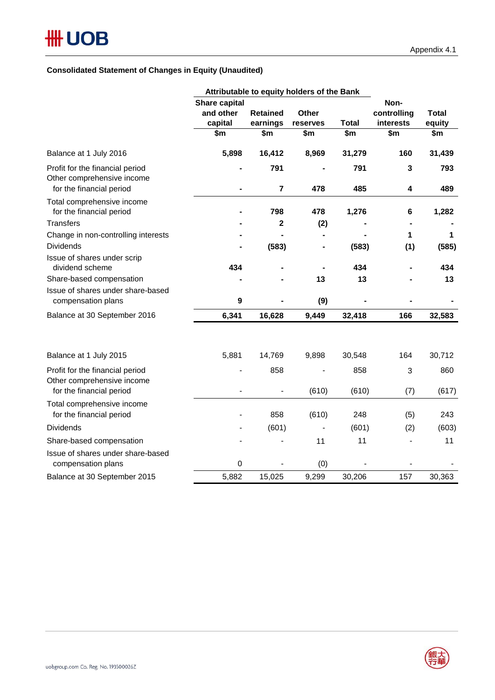#### **Consolidated Statement of Changes in Equity (Unaudited)**

|                                                                                           | Attributable to equity holders of the Bank   |                                    |                          |                     |                                         |                               |
|-------------------------------------------------------------------------------------------|----------------------------------------------|------------------------------------|--------------------------|---------------------|-----------------------------------------|-------------------------------|
|                                                                                           | Share capital<br>and other<br>capital<br>\$m | <b>Retained</b><br>earnings<br>\$m | Other<br>reserves<br>\$m | <b>Total</b><br>\$m | Non-<br>controlling<br>interests<br>\$m | <b>Total</b><br>equity<br>\$m |
|                                                                                           |                                              |                                    |                          |                     |                                         |                               |
| Balance at 1 July 2016                                                                    | 5,898                                        | 16,412                             | 8,969                    | 31,279              | 160                                     | 31,439                        |
| Profit for the financial period<br>Other comprehensive income<br>for the financial period |                                              | 791<br>$\overline{7}$              | 478                      | 791<br>485          | $\mathbf{3}$<br>4                       | 793<br>489                    |
| Total comprehensive income<br>for the financial period                                    |                                              | 798                                | 478                      | 1,276               | 6                                       | 1,282                         |
| <b>Transfers</b>                                                                          |                                              | $\overline{\mathbf{2}}$            | (2)                      |                     |                                         |                               |
| Change in non-controlling interests                                                       |                                              |                                    |                          |                     | 1                                       | 1                             |
| <b>Dividends</b>                                                                          |                                              | (583)                              | $\blacksquare$           | (583)               | (1)                                     | (585)                         |
| Issue of shares under scrip<br>dividend scheme                                            | 434                                          |                                    |                          | 434                 |                                         | 434                           |
| Share-based compensation                                                                  |                                              |                                    | 13                       | 13                  |                                         | 13                            |
| Issue of shares under share-based<br>compensation plans                                   | $\boldsymbol{9}$                             |                                    | (9)                      |                     |                                         |                               |
| Balance at 30 September 2016                                                              | 6,341                                        | 16,628                             | 9,449                    | 32,418              | 166                                     | 32,583                        |
| Balance at 1 July 2015                                                                    | 5,881                                        | 14,769                             | 9,898                    | 30,548              | 164                                     | 30,712                        |
| Profit for the financial period<br>Other comprehensive income                             |                                              | 858                                |                          | 858                 | 3                                       | 860                           |
| for the financial period                                                                  |                                              |                                    | (610)                    | (610)               | (7)                                     | (617)                         |
| Total comprehensive income<br>for the financial period                                    |                                              | 858                                | (610)                    | 248                 | (5)                                     | 243                           |
| <b>Dividends</b>                                                                          |                                              | (601)                              |                          | (601)               | (2)                                     | (603)                         |
| Share-based compensation                                                                  |                                              |                                    | 11                       | 11                  |                                         | 11                            |
| Issue of shares under share-based<br>compensation plans                                   | $\mathbf 0$                                  |                                    | (0)                      |                     |                                         |                               |
| Balance at 30 September 2015                                                              | 5,882                                        | 15,025                             | 9,299                    | 30,206              | 157                                     | 30,363                        |

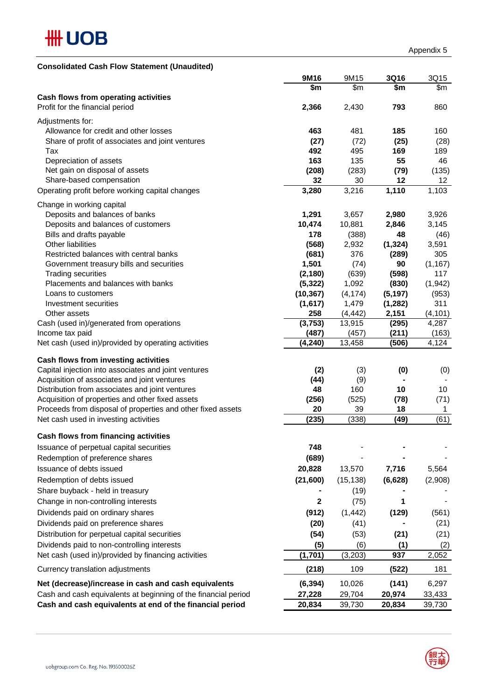

| <b>Consolidated Cash Flow Statement (Unaudited)</b> |  |  |
|-----------------------------------------------------|--|--|
|                                                     |  |  |

|                                                                | 9M16            | 9M15            | <b>3Q16</b> | 3Q15          |
|----------------------------------------------------------------|-----------------|-----------------|-------------|---------------|
|                                                                | \$m             | \$m             | \$m         | \$m           |
| Cash flows from operating activities                           |                 |                 |             |               |
| Profit for the financial period                                | 2,366           | 2,430           | 793         | 860           |
| Adjustments for:                                               |                 |                 |             |               |
| Allowance for credit and other losses                          | 463             | 481             | 185         | 160           |
| Share of profit of associates and joint ventures               | (27)            | (72)            | (25)        | (28)          |
| Tax                                                            | 492             | 495             | 169         | 189           |
| Depreciation of assets                                         | 163             | 135             | 55          | 46            |
| Net gain on disposal of assets                                 | (208)           | (283)           | (79)        | (135)         |
| Share-based compensation                                       | 32              | 30              | 12          | 12            |
| Operating profit before working capital changes                | 3,280           | 3,216           | 1,110       | 1,103         |
|                                                                |                 |                 |             |               |
| Change in working capital                                      |                 |                 |             |               |
| Deposits and balances of banks                                 | 1,291<br>10,474 | 3,657           | 2,980       | 3,926         |
| Deposits and balances of customers<br>Bills and drafts payable | 178             | 10,881<br>(388) | 2,846<br>48 | 3,145         |
| Other liabilities                                              | (568)           | 2,932           | (1, 324)    | (46)<br>3,591 |
| Restricted balances with central banks                         | (681)           | 376             | (289)       | 305           |
| Government treasury bills and securities                       | 1,501           | (74)            | 90          | (1, 167)      |
| <b>Trading securities</b>                                      | (2, 180)        | (639)           | (598)       | 117           |
| Placements and balances with banks                             | (5, 322)        | 1,092           | (830)       | (1, 942)      |
| Loans to customers                                             | (10, 367)       | (4, 174)        | (5, 197)    | (953)         |
| Investment securities                                          | (1,617)         | 1,479           | (1, 282)    | 311           |
| Other assets                                                   | 258             | (4, 442)        | 2,151       | (4, 101)      |
| Cash (used in)/generated from operations                       | (3,753)         | 13,915          | (295)       | 4,287         |
| Income tax paid                                                | (487)           | (457)           | (211)       | (163)         |
| Net cash (used in)/provided by operating activities            | (4, 240)        | 13,458          | (506)       | 4,124         |
|                                                                |                 |                 |             |               |
| Cash flows from investing activities                           |                 |                 |             |               |
| Capital injection into associates and joint ventures           | (2)             | (3)             | (0)         | (0)           |
| Acquisition of associates and joint ventures                   | (44)            | (9)             |             |               |
| Distribution from associates and joint ventures                | 48              | 160             | 10          | 10            |
| Acquisition of properties and other fixed assets               | (256)           | (525)           | (78)        | (71)          |
| Proceeds from disposal of properties and other fixed assets    | 20              | 39              | 18          | 1             |
| Net cash used in investing activities                          | (235)           | (338)           | (49)        | (61)          |
| Cash flows from financing activities                           |                 |                 |             |               |
|                                                                | 748             |                 |             |               |
| Issuance of perpetual capital securities                       |                 |                 |             |               |
| Redemption of preference shares                                | (689)           |                 |             |               |
| Issuance of debts issued                                       | 20,828          | 13,570          | 7,716       | 5,564         |
| Redemption of debts issued                                     | (21,600)        | (15, 138)       | (6,628)     | (2,908)       |
| Share buyback - held in treasury                               |                 | (19)            |             |               |
| Change in non-controlling interests                            | 2               | (75)            | 1           |               |
| Dividends paid on ordinary shares                              | (912)           | (1, 442)        | (129)       | (561)         |
| Dividends paid on preference shares                            | (20)            | (41)            |             | (21)          |
| Distribution for perpetual capital securities                  | (54)            | (53)            | (21)        | (21)          |
| Dividends paid to non-controlling interests                    | (5)             | (6)             | (1)         | (2)           |
| Net cash (used in)/provided by financing activities            | (1,701)         | (3, 203)        | 937         | 2,052         |
|                                                                |                 |                 |             |               |
| Currency translation adjustments                               | (218)           | 109             | (522)       | 181           |
| Net (decrease)/increase in cash and cash equivalents           | (6, 394)        | 10,026          | (141)       | 6,297         |
| Cash and cash equivalents at beginning of the financial period | 27,228          | 29,704          | 20,974      | 33,433        |
| Cash and cash equivalents at end of the financial period       | 20,834          | 39,730          | 20,834      | 39,730        |

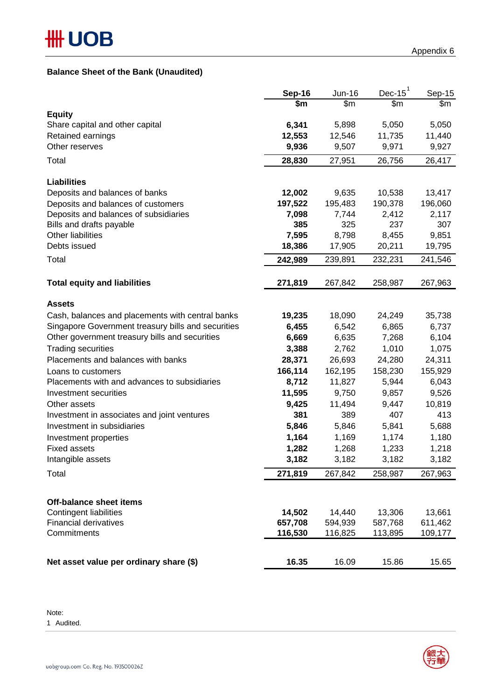#### **Balance Sheet of the Bank (Unaudited)**

|                                                               | <b>Sep-16</b>     | Jun-16            | Dec-15 $1$        | Sep-15             |
|---------------------------------------------------------------|-------------------|-------------------|-------------------|--------------------|
|                                                               | \$m               | \$m               | \$m               | \$m\$              |
| <b>Equity</b>                                                 |                   |                   |                   |                    |
| Share capital and other capital                               | 6,341             | 5,898<br>12,546   | 5,050             | 5,050              |
| Retained earnings<br>Other reserves                           | 12,553<br>9,936   | 9,507             | 11,735<br>9,971   | 11,440<br>9,927    |
|                                                               |                   |                   |                   |                    |
| Total                                                         | 28,830            | 27,951            | 26,756            | 26,417             |
| <b>Liabilities</b>                                            |                   |                   |                   |                    |
| Deposits and balances of banks                                | 12,002            | 9,635             | 10,538            | 13,417             |
| Deposits and balances of customers                            | 197,522           | 195,483           | 190,378           | 196,060            |
| Deposits and balances of subsidiaries                         | 7,098             | 7,744             | 2,412             | 2,117              |
| Bills and drafts payable                                      | 385               | 325               | 237               | 307                |
| Other liabilities                                             | 7,595             | 8,798             | 8,455             | 9,851              |
| Debts issued                                                  | 18,386            | 17,905            | 20,211            | 19,795             |
| Total                                                         | 242,989           | 239,891           | 232,231           | 241,546            |
| <b>Total equity and liabilities</b>                           | 271,819           | 267,842           | 258,987           | 267,963            |
|                                                               |                   |                   |                   |                    |
| <b>Assets</b>                                                 |                   |                   |                   |                    |
| Cash, balances and placements with central banks              | 19,235            | 18,090            | 24,249            | 35,738             |
| Singapore Government treasury bills and securities            | 6,455             | 6,542             | 6,865             | 6,737              |
| Other government treasury bills and securities                | 6,669             | 6,635             | 7,268             | 6,104              |
| <b>Trading securities</b>                                     | 3,388             | 2,762             | 1,010             | 1,075              |
| Placements and balances with banks                            | 28,371            | 26,693            | 24,280            | 24,311             |
| Loans to customers                                            | 166,114           | 162,195           | 158,230           | 155,929            |
| Placements with and advances to subsidiaries                  | 8,712             | 11,827            | 5,944             | 6,043              |
| Investment securities                                         | 11,595            | 9,750             | 9,857             | 9,526              |
| Other assets                                                  | 9,425             | 11,494            | 9,447             | 10,819             |
| Investment in associates and joint ventures                   | 381               | 389               | 407               | 413                |
| Investment in subsidiaries                                    | 5,846             | 5,846             | 5,841             | 5,688              |
| Investment properties                                         | 1,164             | 1,169             | 1,174             | 1,180              |
| <b>Fixed assets</b>                                           | 1,282             | 1,268             | 1,233             | 1,218              |
| Intangible assets                                             | 3,182             | 3,182             | 3,182             | 3,182              |
| Total                                                         | 271,819           | 267,842           | 258,987           | 267,963            |
|                                                               |                   |                   |                   |                    |
| Off-balance sheet items                                       |                   |                   |                   |                    |
| <b>Contingent liabilities</b><br><b>Financial derivatives</b> | 14,502<br>657,708 | 14,440<br>594,939 | 13,306<br>587,768 | 13,661             |
| Commitments                                                   | 116,530           | 116,825           | 113,895           | 611,462<br>109,177 |
|                                                               |                   |                   |                   |                    |
| Net asset value per ordinary share (\$)                       | 16.35             | 16.09             | 15.86             | 15.65              |

Note:

1 Audited.

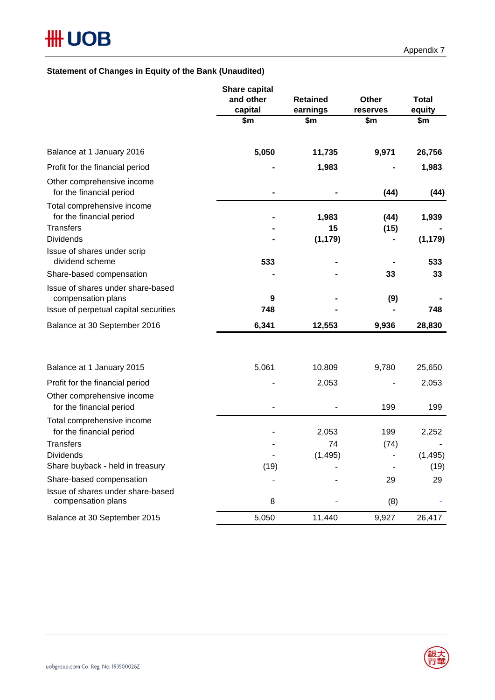#### **Statement of Changes in Equity of the Bank (Unaudited)**

|                                                                            | Share capital<br>and other<br>capital | <b>Retained</b><br>earnings | Other<br>reserves | <b>Total</b><br>equity |
|----------------------------------------------------------------------------|---------------------------------------|-----------------------------|-------------------|------------------------|
|                                                                            | \$m                                   | \$m                         | \$m               | \$m                    |
| Balance at 1 January 2016                                                  | 5,050                                 | 11,735                      | 9,971             | 26,756                 |
| Profit for the financial period                                            |                                       | 1,983                       |                   | 1,983                  |
| Other comprehensive income<br>for the financial period                     |                                       |                             | (44)              | (44)                   |
| Total comprehensive income<br>for the financial period<br><b>Transfers</b> |                                       | 1,983<br>15                 | (44)<br>(15)      | 1,939                  |
| <b>Dividends</b>                                                           |                                       | (1, 179)                    |                   | (1, 179)               |
| Issue of shares under scrip<br>dividend scheme                             | 533                                   |                             |                   | 533                    |
| Share-based compensation                                                   |                                       |                             | 33                | 33                     |
| Issue of shares under share-based<br>compensation plans                    | 9                                     |                             | (9)               |                        |
| Issue of perpetual capital securities                                      | 748                                   |                             |                   | 748                    |
| Balance at 30 September 2016                                               | 6,341                                 | 12,553                      | 9,936             | 28,830                 |
| Balance at 1 January 2015                                                  | 5,061                                 | 10,809                      | 9,780             | 25,650                 |
| Profit for the financial period                                            |                                       | 2,053                       |                   | 2,053                  |
| Other comprehensive income<br>for the financial period                     |                                       |                             | 199               | 199                    |
| Total comprehensive income<br>for the financial period                     |                                       | 2,053                       | 199               | 2,252                  |
| <b>Transfers</b>                                                           |                                       | 74                          | (74)              |                        |
| <b>Dividends</b>                                                           |                                       | (1, 495)                    |                   | (1, 495)               |
| Share buyback - held in treasury                                           | (19)                                  |                             |                   | (19)                   |
| Share-based compensation                                                   |                                       |                             | 29                | 29                     |
| Issue of shares under share-based<br>compensation plans                    | 8                                     |                             | (8)               |                        |
| Balance at 30 September 2015                                               | 5,050                                 | 11,440                      | 9,927             | 26,417                 |

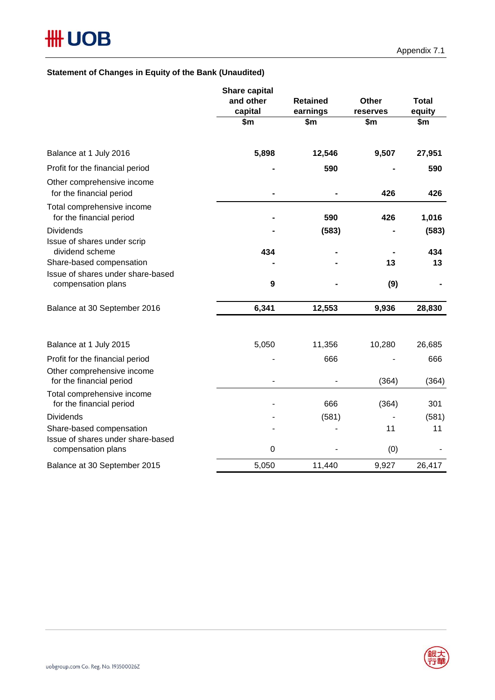#### **Statement of Changes in Equity of the Bank (Unaudited)**

|                                                               | Share capital<br>and other<br>capital | <b>Retained</b><br>earnings | Other<br>reserves | <b>Total</b><br>equity |
|---------------------------------------------------------------|---------------------------------------|-----------------------------|-------------------|------------------------|
|                                                               | \$m                                   | \$m                         | \$m               | \$m                    |
| Balance at 1 July 2016                                        | 5,898                                 | 12,546                      | 9,507             | 27,951                 |
| Profit for the financial period                               |                                       | 590                         |                   | 590                    |
| Other comprehensive income<br>for the financial period        |                                       |                             | 426               | 426                    |
| Total comprehensive income<br>for the financial period        |                                       | 590                         | 426               | 1,016                  |
| <b>Dividends</b><br>Issue of shares under scrip               |                                       | (583)                       |                   | (583)                  |
| dividend scheme<br>Share-based compensation                   | 434                                   |                             |                   | 434                    |
| Issue of shares under share-based                             |                                       |                             | 13                | 13                     |
| compensation plans                                            | 9                                     |                             | (9)               |                        |
| Balance at 30 September 2016                                  | 6,341                                 | 12,553                      | 9,936             | 28,830                 |
| Balance at 1 July 2015                                        | 5,050                                 | 11,356                      | 10,280            | 26,685                 |
| Profit for the financial period                               |                                       | 666                         |                   | 666                    |
| Other comprehensive income<br>for the financial period        |                                       |                             | (364)             | (364)                  |
| Total comprehensive income<br>for the financial period        |                                       | 666                         | (364)             | 301                    |
| <b>Dividends</b>                                              |                                       | (581)                       |                   | (581)                  |
| Share-based compensation<br>Issue of shares under share-based |                                       |                             | 11                | 11                     |
| compensation plans                                            | $\mathbf 0$                           |                             | (0)               |                        |
| Balance at 30 September 2015                                  | 5,050                                 | 11,440                      | 9,927             | 26,417                 |